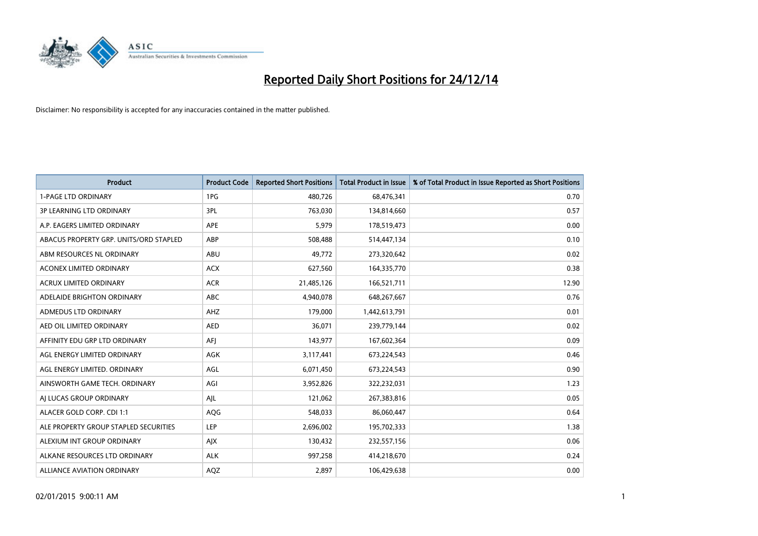

| <b>Product</b>                         | <b>Product Code</b> | <b>Reported Short Positions</b> | <b>Total Product in Issue</b> | % of Total Product in Issue Reported as Short Positions |
|----------------------------------------|---------------------|---------------------------------|-------------------------------|---------------------------------------------------------|
| <b>1-PAGE LTD ORDINARY</b>             | 1PG                 | 480,726                         | 68,476,341                    | 0.70                                                    |
| 3P LEARNING LTD ORDINARY               | 3PL                 | 763,030                         | 134,814,660                   | 0.57                                                    |
| A.P. EAGERS LIMITED ORDINARY           | <b>APE</b>          | 5,979                           | 178,519,473                   | 0.00                                                    |
| ABACUS PROPERTY GRP. UNITS/ORD STAPLED | ABP                 | 508,488                         | 514,447,134                   | 0.10                                                    |
| ABM RESOURCES NL ORDINARY              | ABU                 | 49,772                          | 273,320,642                   | 0.02                                                    |
| <b>ACONEX LIMITED ORDINARY</b>         | <b>ACX</b>          | 627,560                         | 164,335,770                   | 0.38                                                    |
| <b>ACRUX LIMITED ORDINARY</b>          | <b>ACR</b>          | 21,485,126                      | 166,521,711                   | 12.90                                                   |
| ADELAIDE BRIGHTON ORDINARY             | <b>ABC</b>          | 4,940,078                       | 648,267,667                   | 0.76                                                    |
| ADMEDUS LTD ORDINARY                   | AHZ                 | 179,000                         | 1,442,613,791                 | 0.01                                                    |
| AED OIL LIMITED ORDINARY               | <b>AED</b>          | 36,071                          | 239,779,144                   | 0.02                                                    |
| AFFINITY EDU GRP LTD ORDINARY          | AFI                 | 143,977                         | 167,602,364                   | 0.09                                                    |
| AGL ENERGY LIMITED ORDINARY            | AGK                 | 3,117,441                       | 673,224,543                   | 0.46                                                    |
| AGL ENERGY LIMITED. ORDINARY           | AGL                 | 6,071,450                       | 673,224,543                   | 0.90                                                    |
| AINSWORTH GAME TECH. ORDINARY          | AGI                 | 3,952,826                       | 322,232,031                   | 1.23                                                    |
| AI LUCAS GROUP ORDINARY                | AJL                 | 121,062                         | 267,383,816                   | 0.05                                                    |
| ALACER GOLD CORP. CDI 1:1              | AQG                 | 548,033                         | 86,060,447                    | 0.64                                                    |
| ALE PROPERTY GROUP STAPLED SECURITIES  | LEP                 | 2,696,002                       | 195,702,333                   | 1.38                                                    |
| ALEXIUM INT GROUP ORDINARY             | AJX                 | 130,432                         | 232,557,156                   | 0.06                                                    |
| ALKANE RESOURCES LTD ORDINARY          | <b>ALK</b>          | 997,258                         | 414,218,670                   | 0.24                                                    |
| ALLIANCE AVIATION ORDINARY             | AQZ                 | 2,897                           | 106,429,638                   | 0.00                                                    |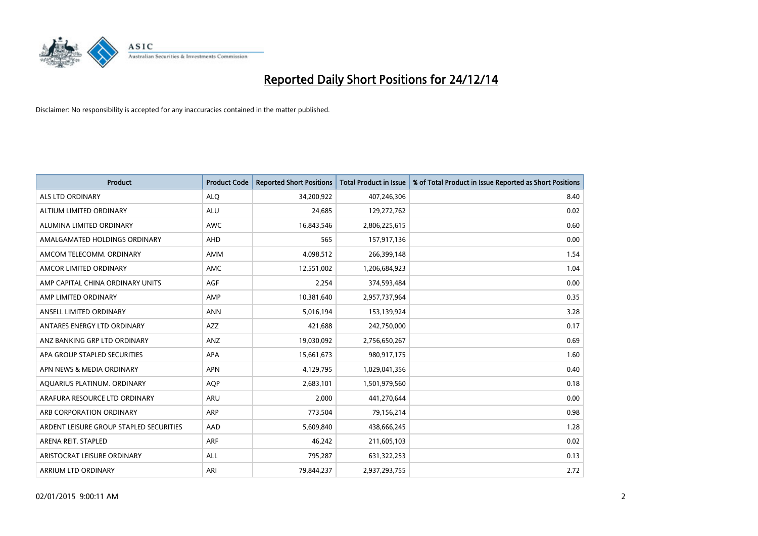

| <b>Product</b>                          | <b>Product Code</b> | <b>Reported Short Positions</b> | <b>Total Product in Issue</b> | % of Total Product in Issue Reported as Short Positions |
|-----------------------------------------|---------------------|---------------------------------|-------------------------------|---------------------------------------------------------|
| ALS LTD ORDINARY                        | <b>ALQ</b>          | 34,200,922                      | 407,246,306                   | 8.40                                                    |
| ALTIUM LIMITED ORDINARY                 | <b>ALU</b>          | 24,685                          | 129,272,762                   | 0.02                                                    |
| ALUMINA LIMITED ORDINARY                | <b>AWC</b>          | 16,843,546                      | 2,806,225,615                 | 0.60                                                    |
| AMALGAMATED HOLDINGS ORDINARY           | <b>AHD</b>          | 565                             | 157,917,136                   | 0.00                                                    |
| AMCOM TELECOMM, ORDINARY                | <b>AMM</b>          | 4,098,512                       | 266,399,148                   | 1.54                                                    |
| AMCOR LIMITED ORDINARY                  | <b>AMC</b>          | 12,551,002                      | 1,206,684,923                 | 1.04                                                    |
| AMP CAPITAL CHINA ORDINARY UNITS        | AGF                 | 2,254                           | 374,593,484                   | 0.00                                                    |
| AMP LIMITED ORDINARY                    | AMP                 | 10,381,640                      | 2,957,737,964                 | 0.35                                                    |
| ANSELL LIMITED ORDINARY                 | <b>ANN</b>          | 5,016,194                       | 153,139,924                   | 3.28                                                    |
| ANTARES ENERGY LTD ORDINARY             | <b>AZZ</b>          | 421,688                         | 242,750,000                   | 0.17                                                    |
| ANZ BANKING GRP LTD ORDINARY            | ANZ                 | 19,030,092                      | 2,756,650,267                 | 0.69                                                    |
| APA GROUP STAPLED SECURITIES            | APA                 | 15,661,673                      | 980,917,175                   | 1.60                                                    |
| APN NEWS & MEDIA ORDINARY               | <b>APN</b>          | 4,129,795                       | 1,029,041,356                 | 0.40                                                    |
| AQUARIUS PLATINUM. ORDINARY             | <b>AOP</b>          | 2,683,101                       | 1,501,979,560                 | 0.18                                                    |
| ARAFURA RESOURCE LTD ORDINARY           | <b>ARU</b>          | 2,000                           | 441,270,644                   | 0.00                                                    |
| ARB CORPORATION ORDINARY                | ARP                 | 773,504                         | 79,156,214                    | 0.98                                                    |
| ARDENT LEISURE GROUP STAPLED SECURITIES | AAD                 | 5,609,840                       | 438,666,245                   | 1.28                                                    |
| ARENA REIT. STAPLED                     | <b>ARF</b>          | 46,242                          | 211,605,103                   | 0.02                                                    |
| ARISTOCRAT LEISURE ORDINARY             | <b>ALL</b>          | 795,287                         | 631,322,253                   | 0.13                                                    |
| ARRIUM LTD ORDINARY                     | ARI                 | 79,844,237                      | 2,937,293,755                 | 2.72                                                    |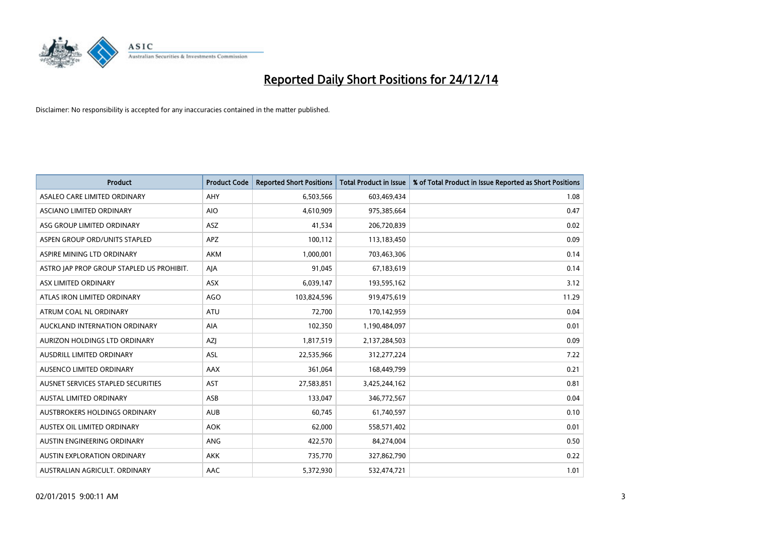

| <b>Product</b>                            | <b>Product Code</b> | <b>Reported Short Positions</b> | <b>Total Product in Issue</b> | % of Total Product in Issue Reported as Short Positions |
|-------------------------------------------|---------------------|---------------------------------|-------------------------------|---------------------------------------------------------|
| ASALEO CARE LIMITED ORDINARY              | AHY                 | 6,503,566                       | 603,469,434                   | 1.08                                                    |
| ASCIANO LIMITED ORDINARY                  | <b>AIO</b>          | 4,610,909                       | 975,385,664                   | 0.47                                                    |
| ASG GROUP LIMITED ORDINARY                | <b>ASZ</b>          | 41,534                          | 206,720,839                   | 0.02                                                    |
| ASPEN GROUP ORD/UNITS STAPLED             | APZ                 | 100,112                         | 113,183,450                   | 0.09                                                    |
| ASPIRE MINING LTD ORDINARY                | <b>AKM</b>          | 1,000,001                       | 703,463,306                   | 0.14                                                    |
| ASTRO JAP PROP GROUP STAPLED US PROHIBIT. | AJA                 | 91,045                          | 67,183,619                    | 0.14                                                    |
| ASX LIMITED ORDINARY                      | ASX                 | 6,039,147                       | 193,595,162                   | 3.12                                                    |
| ATLAS IRON LIMITED ORDINARY               | <b>AGO</b>          | 103,824,596                     | 919,475,619                   | 11.29                                                   |
| ATRUM COAL NL ORDINARY                    | <b>ATU</b>          | 72,700                          | 170,142,959                   | 0.04                                                    |
| AUCKLAND INTERNATION ORDINARY             | <b>AIA</b>          | 102,350                         | 1,190,484,097                 | 0.01                                                    |
| AURIZON HOLDINGS LTD ORDINARY             | AZJ                 | 1,817,519                       | 2,137,284,503                 | 0.09                                                    |
| AUSDRILL LIMITED ORDINARY                 | ASL                 | 22,535,966                      | 312,277,224                   | 7.22                                                    |
| AUSENCO LIMITED ORDINARY                  | AAX                 | 361,064                         | 168,449,799                   | 0.21                                                    |
| AUSNET SERVICES STAPLED SECURITIES        | AST                 | 27,583,851                      | 3,425,244,162                 | 0.81                                                    |
| <b>AUSTAL LIMITED ORDINARY</b>            | ASB                 | 133,047                         | 346,772,567                   | 0.04                                                    |
| AUSTBROKERS HOLDINGS ORDINARY             | <b>AUB</b>          | 60,745                          | 61,740,597                    | 0.10                                                    |
| AUSTEX OIL LIMITED ORDINARY               | <b>AOK</b>          | 62,000                          | 558,571,402                   | 0.01                                                    |
| AUSTIN ENGINEERING ORDINARY               | <b>ANG</b>          | 422,570                         | 84,274,004                    | 0.50                                                    |
| <b>AUSTIN EXPLORATION ORDINARY</b>        | <b>AKK</b>          | 735,770                         | 327,862,790                   | 0.22                                                    |
| AUSTRALIAN AGRICULT. ORDINARY             | AAC                 | 5,372,930                       | 532,474,721                   | 1.01                                                    |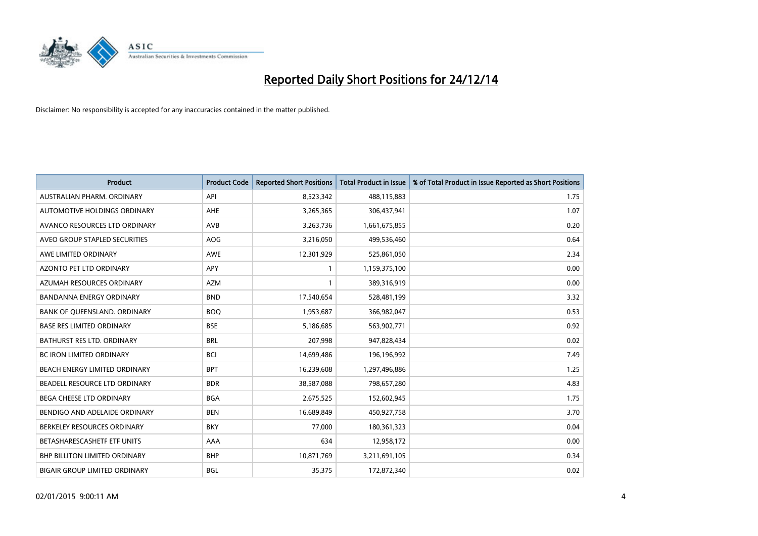

| <b>Product</b>                       | <b>Product Code</b> | <b>Reported Short Positions</b> | <b>Total Product in Issue</b> | % of Total Product in Issue Reported as Short Positions |
|--------------------------------------|---------------------|---------------------------------|-------------------------------|---------------------------------------------------------|
| AUSTRALIAN PHARM, ORDINARY           | API                 | 8,523,342                       | 488,115,883                   | 1.75                                                    |
| AUTOMOTIVE HOLDINGS ORDINARY         | <b>AHE</b>          | 3,265,365                       | 306,437,941                   | 1.07                                                    |
| AVANCO RESOURCES LTD ORDINARY        | AVB                 | 3,263,736                       | 1,661,675,855                 | 0.20                                                    |
| AVEO GROUP STAPLED SECURITIES        | <b>AOG</b>          | 3,216,050                       | 499,536,460                   | 0.64                                                    |
| AWE LIMITED ORDINARY                 | <b>AWE</b>          | 12,301,929                      | 525,861,050                   | 2.34                                                    |
| <b>AZONTO PET LTD ORDINARY</b>       | <b>APY</b>          | 1                               | 1,159,375,100                 | 0.00                                                    |
| AZUMAH RESOURCES ORDINARY            | <b>AZM</b>          | 1                               | 389,316,919                   | 0.00                                                    |
| <b>BANDANNA ENERGY ORDINARY</b>      | <b>BND</b>          | 17,540,654                      | 528,481,199                   | 3.32                                                    |
| BANK OF QUEENSLAND. ORDINARY         | <b>BOQ</b>          | 1,953,687                       | 366,982,047                   | 0.53                                                    |
| <b>BASE RES LIMITED ORDINARY</b>     | <b>BSE</b>          | 5,186,685                       | 563,902,771                   | 0.92                                                    |
| BATHURST RES LTD. ORDINARY           | <b>BRL</b>          | 207,998                         | 947,828,434                   | 0.02                                                    |
| <b>BC IRON LIMITED ORDINARY</b>      | <b>BCI</b>          | 14,699,486                      | 196,196,992                   | 7.49                                                    |
| BEACH ENERGY LIMITED ORDINARY        | <b>BPT</b>          | 16,239,608                      | 1,297,496,886                 | 1.25                                                    |
| BEADELL RESOURCE LTD ORDINARY        | <b>BDR</b>          | 38,587,088                      | 798,657,280                   | 4.83                                                    |
| <b>BEGA CHEESE LTD ORDINARY</b>      | <b>BGA</b>          | 2,675,525                       | 152,602,945                   | 1.75                                                    |
| BENDIGO AND ADELAIDE ORDINARY        | <b>BEN</b>          | 16,689,849                      | 450,927,758                   | 3.70                                                    |
| BERKELEY RESOURCES ORDINARY          | <b>BKY</b>          | 77,000                          | 180,361,323                   | 0.04                                                    |
| BETASHARESCASHETF ETF UNITS          | AAA                 | 634                             | 12,958,172                    | 0.00                                                    |
| <b>BHP BILLITON LIMITED ORDINARY</b> | <b>BHP</b>          | 10,871,769                      | 3,211,691,105                 | 0.34                                                    |
| <b>BIGAIR GROUP LIMITED ORDINARY</b> | <b>BGL</b>          | 35,375                          | 172,872,340                   | 0.02                                                    |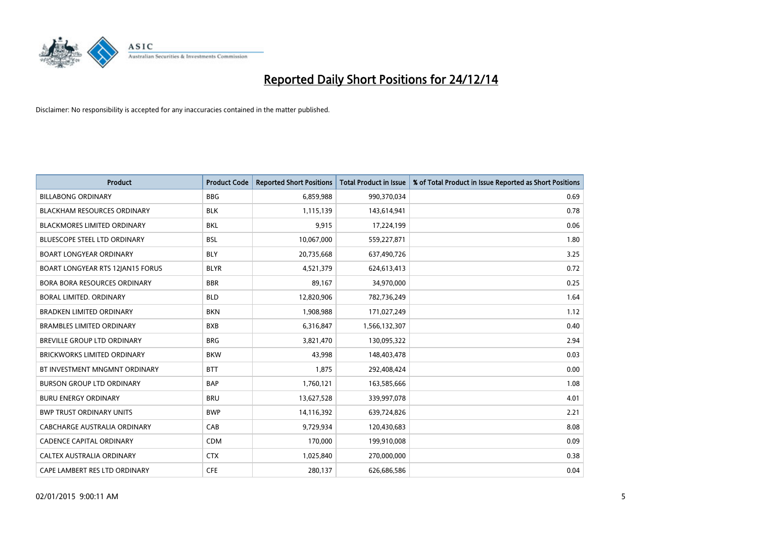

| <b>Product</b>                     | <b>Product Code</b> | <b>Reported Short Positions</b> | <b>Total Product in Issue</b> | % of Total Product in Issue Reported as Short Positions |
|------------------------------------|---------------------|---------------------------------|-------------------------------|---------------------------------------------------------|
| <b>BILLABONG ORDINARY</b>          | <b>BBG</b>          | 6,859,988                       | 990,370,034                   | 0.69                                                    |
| <b>BLACKHAM RESOURCES ORDINARY</b> | <b>BLK</b>          | 1,115,139                       | 143,614,941                   | 0.78                                                    |
| <b>BLACKMORES LIMITED ORDINARY</b> | <b>BKL</b>          | 9,915                           | 17,224,199                    | 0.06                                                    |
| BLUESCOPE STEEL LTD ORDINARY       | <b>BSL</b>          | 10,067,000                      | 559,227,871                   | 1.80                                                    |
| <b>BOART LONGYEAR ORDINARY</b>     | <b>BLY</b>          | 20,735,668                      | 637,490,726                   | 3.25                                                    |
| BOART LONGYEAR RTS 12JAN15 FORUS   | <b>BLYR</b>         | 4,521,379                       | 624,613,413                   | 0.72                                                    |
| BORA BORA RESOURCES ORDINARY       | <b>BBR</b>          | 89,167                          | 34,970,000                    | 0.25                                                    |
| BORAL LIMITED. ORDINARY            | <b>BLD</b>          | 12,820,906                      | 782,736,249                   | 1.64                                                    |
| <b>BRADKEN LIMITED ORDINARY</b>    | <b>BKN</b>          | 1,908,988                       | 171,027,249                   | 1.12                                                    |
| <b>BRAMBLES LIMITED ORDINARY</b>   | <b>BXB</b>          | 6,316,847                       | 1,566,132,307                 | 0.40                                                    |
| BREVILLE GROUP LTD ORDINARY        | <b>BRG</b>          | 3,821,470                       | 130,095,322                   | 2.94                                                    |
| <b>BRICKWORKS LIMITED ORDINARY</b> | <b>BKW</b>          | 43,998                          | 148,403,478                   | 0.03                                                    |
| BT INVESTMENT MNGMNT ORDINARY      | <b>BTT</b>          | 1,875                           | 292,408,424                   | 0.00                                                    |
| <b>BURSON GROUP LTD ORDINARY</b>   | <b>BAP</b>          | 1,760,121                       | 163,585,666                   | 1.08                                                    |
| <b>BURU ENERGY ORDINARY</b>        | <b>BRU</b>          | 13,627,528                      | 339,997,078                   | 4.01                                                    |
| <b>BWP TRUST ORDINARY UNITS</b>    | <b>BWP</b>          | 14,116,392                      | 639,724,826                   | 2.21                                                    |
| CABCHARGE AUSTRALIA ORDINARY       | CAB                 | 9,729,934                       | 120,430,683                   | 8.08                                                    |
| <b>CADENCE CAPITAL ORDINARY</b>    | <b>CDM</b>          | 170,000                         | 199,910,008                   | 0.09                                                    |
| CALTEX AUSTRALIA ORDINARY          | <b>CTX</b>          | 1,025,840                       | 270,000,000                   | 0.38                                                    |
| CAPE LAMBERT RES LTD ORDINARY      | <b>CFE</b>          | 280,137                         | 626,686,586                   | 0.04                                                    |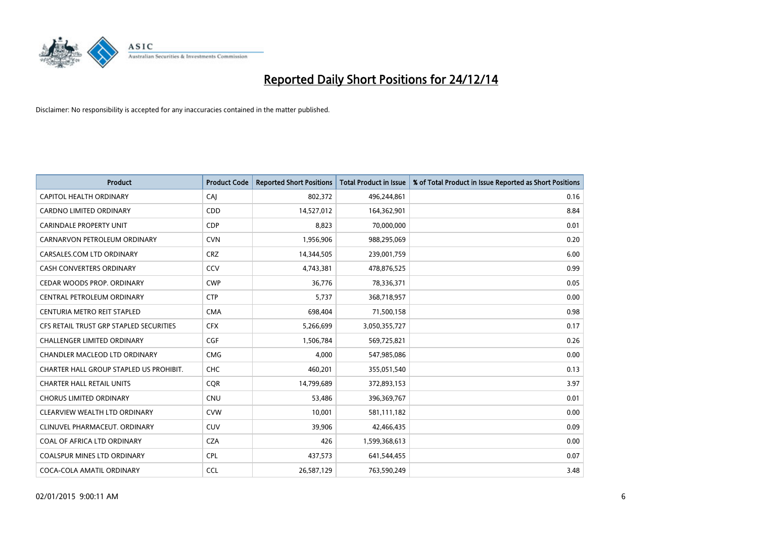

| <b>Product</b>                          | <b>Product Code</b> | <b>Reported Short Positions</b> | <b>Total Product in Issue</b> | % of Total Product in Issue Reported as Short Positions |
|-----------------------------------------|---------------------|---------------------------------|-------------------------------|---------------------------------------------------------|
| CAPITOL HEALTH ORDINARY                 | CAJ                 | 802,372                         | 496,244,861                   | 0.16                                                    |
| <b>CARDNO LIMITED ORDINARY</b>          | <b>CDD</b>          | 14,527,012                      | 164,362,901                   | 8.84                                                    |
| CARINDALE PROPERTY UNIT                 | <b>CDP</b>          | 8,823                           | 70,000,000                    | 0.01                                                    |
| CARNARVON PETROLEUM ORDINARY            | <b>CVN</b>          | 1,956,906                       | 988,295,069                   | 0.20                                                    |
| CARSALES.COM LTD ORDINARY               | <b>CRZ</b>          | 14,344,505                      | 239,001,759                   | 6.00                                                    |
| <b>CASH CONVERTERS ORDINARY</b>         | CCV                 | 4,743,381                       | 478,876,525                   | 0.99                                                    |
| CEDAR WOODS PROP. ORDINARY              | <b>CWP</b>          | 36,776                          | 78,336,371                    | 0.05                                                    |
| CENTRAL PETROLEUM ORDINARY              | <b>CTP</b>          | 5,737                           | 368,718,957                   | 0.00                                                    |
| CENTURIA METRO REIT STAPLED             | <b>CMA</b>          | 698,404                         | 71,500,158                    | 0.98                                                    |
| CFS RETAIL TRUST GRP STAPLED SECURITIES | <b>CFX</b>          | 5,266,699                       | 3,050,355,727                 | 0.17                                                    |
| CHALLENGER LIMITED ORDINARY             | <b>CGF</b>          | 1,506,784                       | 569,725,821                   | 0.26                                                    |
| CHANDLER MACLEOD LTD ORDINARY           | <b>CMG</b>          | 4,000                           | 547,985,086                   | 0.00                                                    |
| CHARTER HALL GROUP STAPLED US PROHIBIT. | <b>CHC</b>          | 460,201                         | 355,051,540                   | 0.13                                                    |
| <b>CHARTER HALL RETAIL UNITS</b>        | <b>COR</b>          | 14,799,689                      | 372,893,153                   | 3.97                                                    |
| <b>CHORUS LIMITED ORDINARY</b>          | <b>CNU</b>          | 53,486                          | 396,369,767                   | 0.01                                                    |
| CLEARVIEW WEALTH LTD ORDINARY           | <b>CVW</b>          | 10,001                          | 581,111,182                   | 0.00                                                    |
| CLINUVEL PHARMACEUT. ORDINARY           | <b>CUV</b>          | 39,906                          | 42,466,435                    | 0.09                                                    |
| COAL OF AFRICA LTD ORDINARY             | <b>CZA</b>          | 426                             | 1,599,368,613                 | 0.00                                                    |
| <b>COALSPUR MINES LTD ORDINARY</b>      | <b>CPL</b>          | 437,573                         | 641,544,455                   | 0.07                                                    |
| COCA-COLA AMATIL ORDINARY               | <b>CCL</b>          | 26,587,129                      | 763,590,249                   | 3.48                                                    |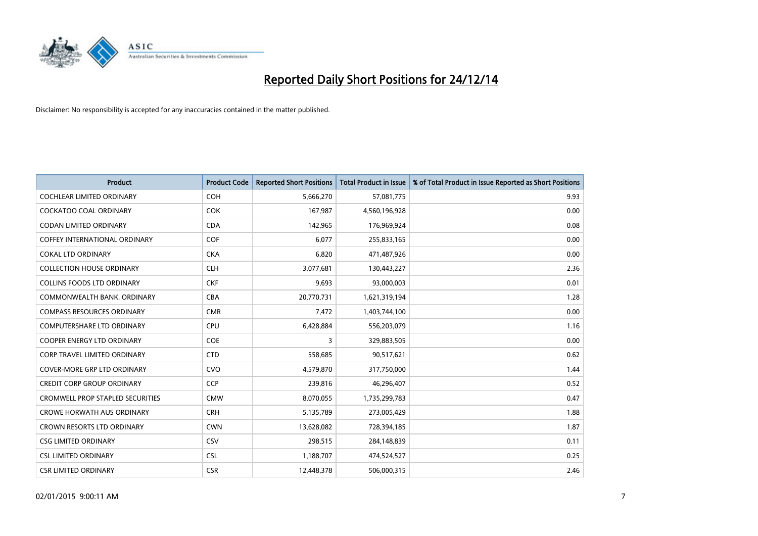

| <b>Product</b>                          | <b>Product Code</b> | <b>Reported Short Positions</b> | <b>Total Product in Issue</b> | % of Total Product in Issue Reported as Short Positions |
|-----------------------------------------|---------------------|---------------------------------|-------------------------------|---------------------------------------------------------|
| <b>COCHLEAR LIMITED ORDINARY</b>        | <b>COH</b>          | 5,666,270                       | 57,081,775                    | 9.93                                                    |
| <b>COCKATOO COAL ORDINARY</b>           | <b>COK</b>          | 167,987                         | 4,560,196,928                 | 0.00                                                    |
| <b>CODAN LIMITED ORDINARY</b>           | <b>CDA</b>          | 142,965                         | 176,969,924                   | 0.08                                                    |
| <b>COFFEY INTERNATIONAL ORDINARY</b>    | <b>COF</b>          | 6,077                           | 255,833,165                   | 0.00                                                    |
| <b>COKAL LTD ORDINARY</b>               | <b>CKA</b>          | 6,820                           | 471,487,926                   | 0.00                                                    |
| <b>COLLECTION HOUSE ORDINARY</b>        | <b>CLH</b>          | 3,077,681                       | 130,443,227                   | 2.36                                                    |
| <b>COLLINS FOODS LTD ORDINARY</b>       | <b>CKF</b>          | 9,693                           | 93,000,003                    | 0.01                                                    |
| COMMONWEALTH BANK, ORDINARY             | <b>CBA</b>          | 20,770,731                      | 1,621,319,194                 | 1.28                                                    |
| <b>COMPASS RESOURCES ORDINARY</b>       | <b>CMR</b>          | 7,472                           | 1,403,744,100                 | 0.00                                                    |
| <b>COMPUTERSHARE LTD ORDINARY</b>       | <b>CPU</b>          | 6,428,884                       | 556,203,079                   | 1.16                                                    |
| COOPER ENERGY LTD ORDINARY              | <b>COE</b>          | 3                               | 329,883,505                   | 0.00                                                    |
| <b>CORP TRAVEL LIMITED ORDINARY</b>     | <b>CTD</b>          | 558,685                         | 90,517,621                    | 0.62                                                    |
| COVER-MORE GRP LTD ORDINARY             | <b>CVO</b>          | 4,579,870                       | 317,750,000                   | 1.44                                                    |
| <b>CREDIT CORP GROUP ORDINARY</b>       | <b>CCP</b>          | 239,816                         | 46,296,407                    | 0.52                                                    |
| <b>CROMWELL PROP STAPLED SECURITIES</b> | <b>CMW</b>          | 8,070,055                       | 1,735,299,783                 | 0.47                                                    |
| <b>CROWE HORWATH AUS ORDINARY</b>       | <b>CRH</b>          | 5,135,789                       | 273,005,429                   | 1.88                                                    |
| CROWN RESORTS LTD ORDINARY              | <b>CWN</b>          | 13,628,082                      | 728,394,185                   | 1.87                                                    |
| <b>CSG LIMITED ORDINARY</b>             | CSV                 | 298,515                         | 284,148,839                   | 0.11                                                    |
| <b>CSL LIMITED ORDINARY</b>             | <b>CSL</b>          | 1,188,707                       | 474,524,527                   | 0.25                                                    |
| <b>CSR LIMITED ORDINARY</b>             | <b>CSR</b>          | 12,448,378                      | 506,000,315                   | 2.46                                                    |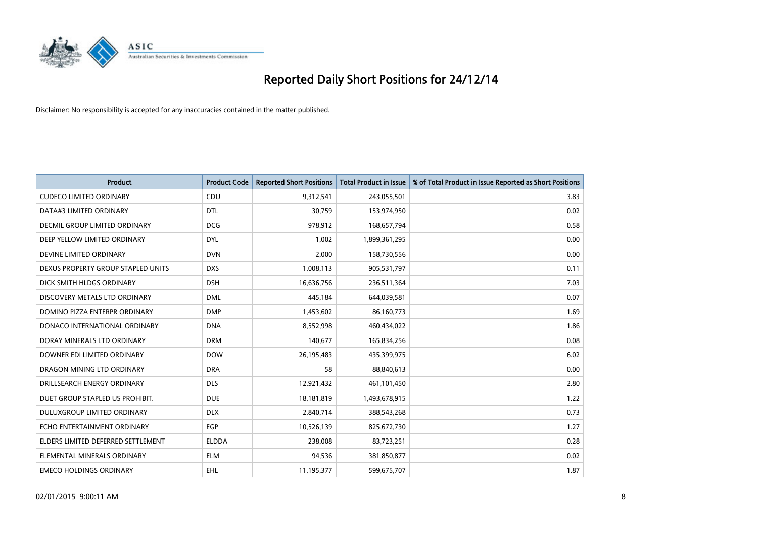

| <b>Product</b>                     | <b>Product Code</b> | <b>Reported Short Positions</b> | <b>Total Product in Issue</b> | % of Total Product in Issue Reported as Short Positions |
|------------------------------------|---------------------|---------------------------------|-------------------------------|---------------------------------------------------------|
| <b>CUDECO LIMITED ORDINARY</b>     | CDU                 | 9,312,541                       | 243,055,501                   | 3.83                                                    |
| DATA#3 LIMITED ORDINARY            | <b>DTL</b>          | 30,759                          | 153,974,950                   | 0.02                                                    |
| DECMIL GROUP LIMITED ORDINARY      | <b>DCG</b>          | 978,912                         | 168,657,794                   | 0.58                                                    |
| DEEP YELLOW LIMITED ORDINARY       | <b>DYL</b>          | 1,002                           | 1,899,361,295                 | 0.00                                                    |
| DEVINE LIMITED ORDINARY            | <b>DVN</b>          | 2,000                           | 158,730,556                   | 0.00                                                    |
| DEXUS PROPERTY GROUP STAPLED UNITS | <b>DXS</b>          | 1,008,113                       | 905,531,797                   | 0.11                                                    |
| DICK SMITH HLDGS ORDINARY          | <b>DSH</b>          | 16,636,756                      | 236,511,364                   | 7.03                                                    |
| DISCOVERY METALS LTD ORDINARY      | <b>DML</b>          | 445,184                         | 644,039,581                   | 0.07                                                    |
| DOMINO PIZZA ENTERPR ORDINARY      | <b>DMP</b>          | 1,453,602                       | 86,160,773                    | 1.69                                                    |
| DONACO INTERNATIONAL ORDINARY      | <b>DNA</b>          | 8,552,998                       | 460,434,022                   | 1.86                                                    |
| DORAY MINERALS LTD ORDINARY        | <b>DRM</b>          | 140,677                         | 165,834,256                   | 0.08                                                    |
| DOWNER EDI LIMITED ORDINARY        | <b>DOW</b>          | 26,195,483                      | 435,399,975                   | 6.02                                                    |
| DRAGON MINING LTD ORDINARY         | <b>DRA</b>          | 58                              | 88,840,613                    | 0.00                                                    |
| DRILLSEARCH ENERGY ORDINARY        | <b>DLS</b>          | 12,921,432                      | 461,101,450                   | 2.80                                                    |
| DUET GROUP STAPLED US PROHIBIT.    | <b>DUE</b>          | 18,181,819                      | 1,493,678,915                 | 1.22                                                    |
| <b>DULUXGROUP LIMITED ORDINARY</b> | <b>DLX</b>          | 2,840,714                       | 388,543,268                   | 0.73                                                    |
| ECHO ENTERTAINMENT ORDINARY        | <b>EGP</b>          | 10,526,139                      | 825,672,730                   | 1.27                                                    |
| ELDERS LIMITED DEFERRED SETTLEMENT | <b>ELDDA</b>        | 238,008                         | 83,723,251                    | 0.28                                                    |
| ELEMENTAL MINERALS ORDINARY        | <b>ELM</b>          | 94,536                          | 381,850,877                   | 0.02                                                    |
| <b>EMECO HOLDINGS ORDINARY</b>     | <b>EHL</b>          | 11,195,377                      | 599,675,707                   | 1.87                                                    |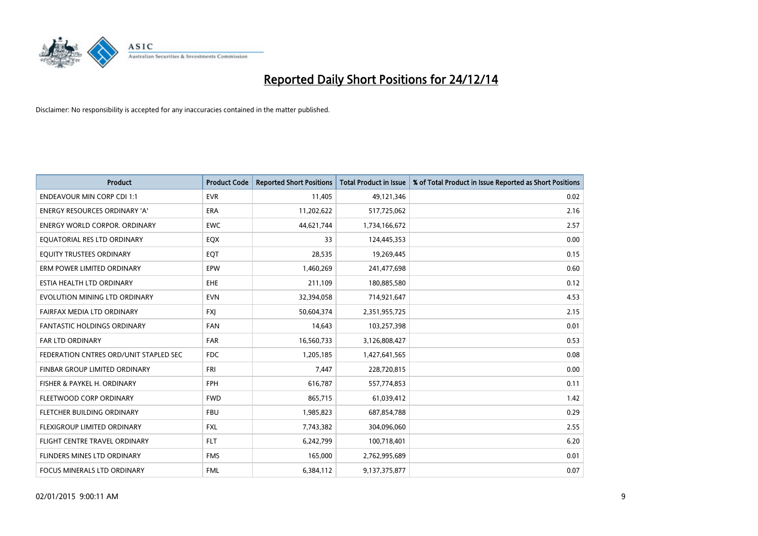

| <b>Product</b>                         | <b>Product Code</b> | <b>Reported Short Positions</b> | <b>Total Product in Issue</b> | % of Total Product in Issue Reported as Short Positions |
|----------------------------------------|---------------------|---------------------------------|-------------------------------|---------------------------------------------------------|
| <b>ENDEAVOUR MIN CORP CDI 1:1</b>      | <b>EVR</b>          | 11,405                          | 49,121,346                    | 0.02                                                    |
| ENERGY RESOURCES ORDINARY 'A'          | <b>ERA</b>          | 11,202,622                      | 517,725,062                   | 2.16                                                    |
| <b>ENERGY WORLD CORPOR, ORDINARY</b>   | EWC                 | 44,621,744                      | 1,734,166,672                 | 2.57                                                    |
| EQUATORIAL RES LTD ORDINARY            | EQX                 | 33                              | 124,445,353                   | 0.00                                                    |
| EQUITY TRUSTEES ORDINARY               | EQT                 | 28,535                          | 19,269,445                    | 0.15                                                    |
| ERM POWER LIMITED ORDINARY             | EPW                 | 1,460,269                       | 241,477,698                   | 0.60                                                    |
| ESTIA HEALTH LTD ORDINARY              | EHE                 | 211,109                         | 180,885,580                   | 0.12                                                    |
| EVOLUTION MINING LTD ORDINARY          | <b>EVN</b>          | 32,394,058                      | 714,921,647                   | 4.53                                                    |
| FAIRFAX MEDIA LTD ORDINARY             | <b>FXI</b>          | 50,604,374                      | 2,351,955,725                 | 2.15                                                    |
| <b>FANTASTIC HOLDINGS ORDINARY</b>     | <b>FAN</b>          | 14,643                          | 103,257,398                   | 0.01                                                    |
| FAR LTD ORDINARY                       | <b>FAR</b>          | 16,560,733                      | 3,126,808,427                 | 0.53                                                    |
| FEDERATION CNTRES ORD/UNIT STAPLED SEC | <b>FDC</b>          | 1,205,185                       | 1,427,641,565                 | 0.08                                                    |
| FINBAR GROUP LIMITED ORDINARY          | <b>FRI</b>          | 7,447                           | 228,720,815                   | 0.00                                                    |
| FISHER & PAYKEL H. ORDINARY            | <b>FPH</b>          | 616,787                         | 557,774,853                   | 0.11                                                    |
| FLEETWOOD CORP ORDINARY                | <b>FWD</b>          | 865,715                         | 61,039,412                    | 1.42                                                    |
| FLETCHER BUILDING ORDINARY             | <b>FBU</b>          | 1,985,823                       | 687,854,788                   | 0.29                                                    |
| FLEXIGROUP LIMITED ORDINARY            | FXL                 | 7,743,382                       | 304,096,060                   | 2.55                                                    |
| FLIGHT CENTRE TRAVEL ORDINARY          | <b>FLT</b>          | 6,242,799                       | 100,718,401                   | 6.20                                                    |
| FLINDERS MINES LTD ORDINARY            | <b>FMS</b>          | 165,000                         | 2,762,995,689                 | 0.01                                                    |
| FOCUS MINERALS LTD ORDINARY            | <b>FML</b>          | 6,384,112                       | 9,137,375,877                 | 0.07                                                    |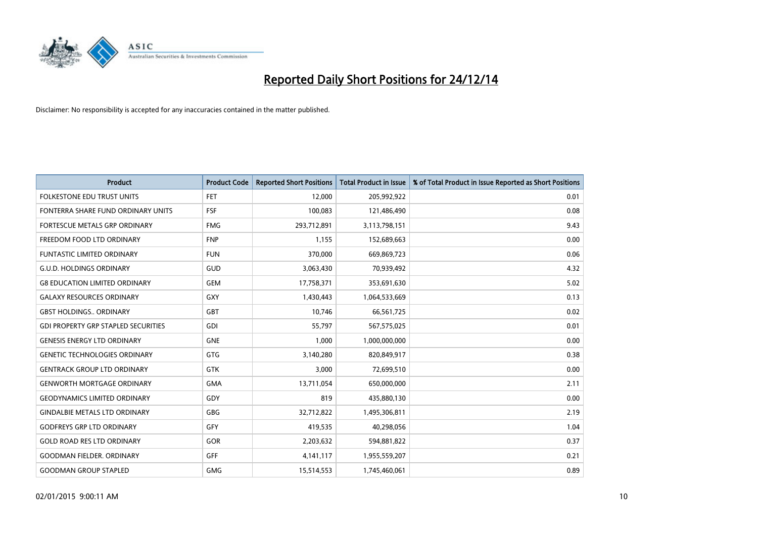

| <b>Product</b>                             | <b>Product Code</b> | <b>Reported Short Positions</b> | <b>Total Product in Issue</b> | % of Total Product in Issue Reported as Short Positions |
|--------------------------------------------|---------------------|---------------------------------|-------------------------------|---------------------------------------------------------|
| <b>FOLKESTONE EDU TRUST UNITS</b>          | <b>FET</b>          | 12,000                          | 205,992,922                   | 0.01                                                    |
| FONTERRA SHARE FUND ORDINARY UNITS         | <b>FSF</b>          | 100,083                         | 121,486,490                   | 0.08                                                    |
| FORTESCUE METALS GRP ORDINARY              | <b>FMG</b>          | 293,712,891                     | 3,113,798,151                 | 9.43                                                    |
| FREEDOM FOOD LTD ORDINARY                  | <b>FNP</b>          | 1,155                           | 152,689,663                   | 0.00                                                    |
| <b>FUNTASTIC LIMITED ORDINARY</b>          | <b>FUN</b>          | 370,000                         | 669,869,723                   | 0.06                                                    |
| <b>G.U.D. HOLDINGS ORDINARY</b>            | GUD                 | 3,063,430                       | 70,939,492                    | 4.32                                                    |
| <b>G8 EDUCATION LIMITED ORDINARY</b>       | <b>GEM</b>          | 17,758,371                      | 353,691,630                   | 5.02                                                    |
| <b>GALAXY RESOURCES ORDINARY</b>           | GXY                 | 1,430,443                       | 1,064,533,669                 | 0.13                                                    |
| <b>GBST HOLDINGS., ORDINARY</b>            | GBT                 | 10,746                          | 66,561,725                    | 0.02                                                    |
| <b>GDI PROPERTY GRP STAPLED SECURITIES</b> | GDI                 | 55,797                          | 567,575,025                   | 0.01                                                    |
| <b>GENESIS ENERGY LTD ORDINARY</b>         | <b>GNE</b>          | 1,000                           | 1,000,000,000                 | 0.00                                                    |
| <b>GENETIC TECHNOLOGIES ORDINARY</b>       | GTG                 | 3,140,280                       | 820,849,917                   | 0.38                                                    |
| <b>GENTRACK GROUP LTD ORDINARY</b>         | GTK                 | 3,000                           | 72,699,510                    | 0.00                                                    |
| <b>GENWORTH MORTGAGE ORDINARY</b>          | <b>GMA</b>          | 13,711,054                      | 650,000,000                   | 2.11                                                    |
| <b>GEODYNAMICS LIMITED ORDINARY</b>        | GDY                 | 819                             | 435,880,130                   | 0.00                                                    |
| <b>GINDALBIE METALS LTD ORDINARY</b>       | <b>GBG</b>          | 32,712,822                      | 1,495,306,811                 | 2.19                                                    |
| <b>GODFREYS GRP LTD ORDINARY</b>           | GFY                 | 419,535                         | 40,298,056                    | 1.04                                                    |
| <b>GOLD ROAD RES LTD ORDINARY</b>          | GOR                 | 2,203,632                       | 594,881,822                   | 0.37                                                    |
| <b>GOODMAN FIELDER, ORDINARY</b>           | GFF                 | 4,141,117                       | 1,955,559,207                 | 0.21                                                    |
| <b>GOODMAN GROUP STAPLED</b>               | <b>GMG</b>          | 15,514,553                      | 1,745,460,061                 | 0.89                                                    |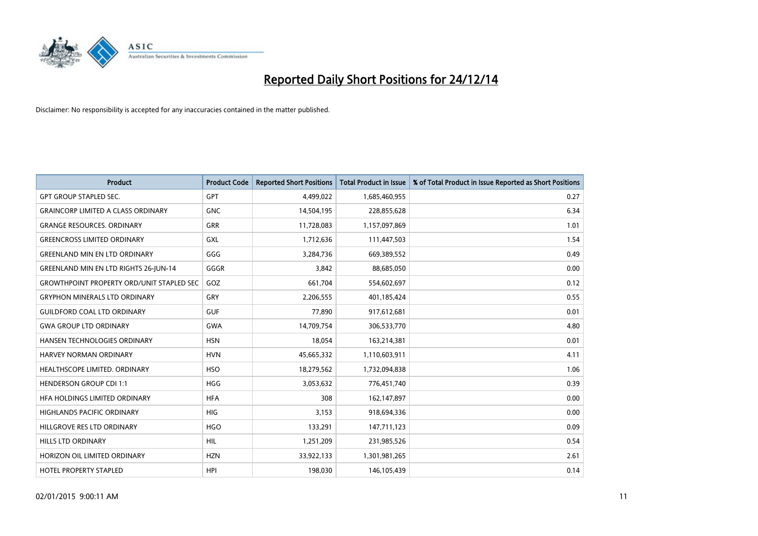

| <b>Product</b>                                   | <b>Product Code</b> | <b>Reported Short Positions</b> | <b>Total Product in Issue</b> | % of Total Product in Issue Reported as Short Positions |
|--------------------------------------------------|---------------------|---------------------------------|-------------------------------|---------------------------------------------------------|
| <b>GPT GROUP STAPLED SEC.</b>                    | GPT                 | 4,499,022                       | 1,685,460,955                 | 0.27                                                    |
| <b>GRAINCORP LIMITED A CLASS ORDINARY</b>        | <b>GNC</b>          | 14,504,195                      | 228,855,628                   | 6.34                                                    |
| <b>GRANGE RESOURCES, ORDINARY</b>                | <b>GRR</b>          | 11,728,083                      | 1,157,097,869                 | 1.01                                                    |
| <b>GREENCROSS LIMITED ORDINARY</b>               | GXL                 | 1,712,636                       | 111,447,503                   | 1.54                                                    |
| <b>GREENLAND MIN EN LTD ORDINARY</b>             | GGG                 | 3,284,736                       | 669,389,552                   | 0.49                                                    |
| <b>GREENLAND MIN EN LTD RIGHTS 26-JUN-14</b>     | GGGR                | 3,842                           | 88,685,050                    | 0.00                                                    |
| <b>GROWTHPOINT PROPERTY ORD/UNIT STAPLED SEC</b> | GOZ                 | 661,704                         | 554,602,697                   | 0.12                                                    |
| <b>GRYPHON MINERALS LTD ORDINARY</b>             | GRY                 | 2,206,555                       | 401,185,424                   | 0.55                                                    |
| <b>GUILDFORD COAL LTD ORDINARY</b>               | <b>GUF</b>          | 77,890                          | 917,612,681                   | 0.01                                                    |
| <b>GWA GROUP LTD ORDINARY</b>                    | <b>GWA</b>          | 14,709,754                      | 306,533,770                   | 4.80                                                    |
| HANSEN TECHNOLOGIES ORDINARY                     | <b>HSN</b>          | 18,054                          | 163,214,381                   | 0.01                                                    |
| HARVEY NORMAN ORDINARY                           | <b>HVN</b>          | 45,665,332                      | 1,110,603,911                 | 4.11                                                    |
| HEALTHSCOPE LIMITED. ORDINARY                    | <b>HSO</b>          | 18,279,562                      | 1,732,094,838                 | 1.06                                                    |
| <b>HENDERSON GROUP CDI 1:1</b>                   | <b>HGG</b>          | 3,053,632                       | 776,451,740                   | 0.39                                                    |
| HFA HOLDINGS LIMITED ORDINARY                    | <b>HFA</b>          | 308                             | 162,147,897                   | 0.00                                                    |
| HIGHLANDS PACIFIC ORDINARY                       | HIG                 | 3,153                           | 918,694,336                   | 0.00                                                    |
| HILLGROVE RES LTD ORDINARY                       | <b>HGO</b>          | 133,291                         | 147,711,123                   | 0.09                                                    |
| HILLS LTD ORDINARY                               | <b>HIL</b>          | 1,251,209                       | 231,985,526                   | 0.54                                                    |
| HORIZON OIL LIMITED ORDINARY                     | <b>HZN</b>          | 33,922,133                      | 1,301,981,265                 | 2.61                                                    |
| <b>HOTEL PROPERTY STAPLED</b>                    | HPI                 | 198,030                         | 146, 105, 439                 | 0.14                                                    |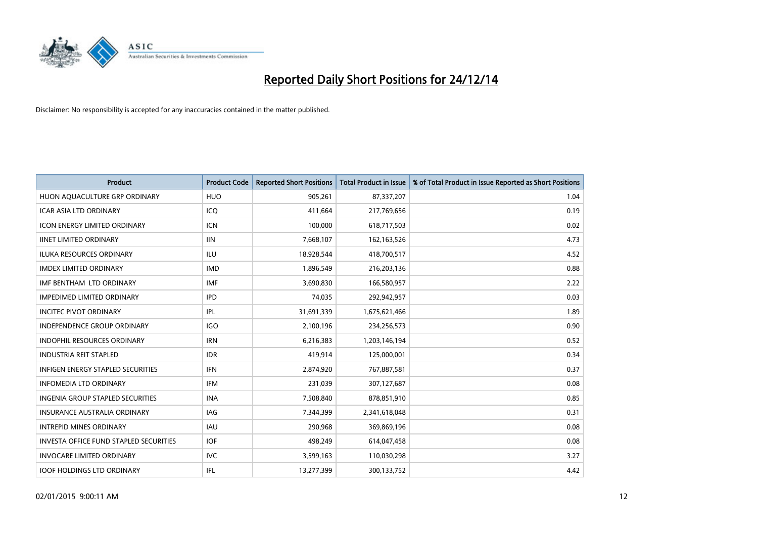

| <b>Product</b>                                | <b>Product Code</b> | <b>Reported Short Positions</b> | <b>Total Product in Issue</b> | % of Total Product in Issue Reported as Short Positions |
|-----------------------------------------------|---------------------|---------------------------------|-------------------------------|---------------------------------------------------------|
| HUON AQUACULTURE GRP ORDINARY                 | <b>HUO</b>          | 905,261                         | 87,337,207                    | 1.04                                                    |
| ICAR ASIA LTD ORDINARY                        | ICQ                 | 411,664                         | 217,769,656                   | 0.19                                                    |
| <b>ICON ENERGY LIMITED ORDINARY</b>           | <b>ICN</b>          | 100,000                         | 618,717,503                   | 0.02                                                    |
| <b>IINET LIMITED ORDINARY</b>                 | <b>IIN</b>          | 7,668,107                       | 162,163,526                   | 4.73                                                    |
| <b>ILUKA RESOURCES ORDINARY</b>               | ILU                 | 18,928,544                      | 418,700,517                   | 4.52                                                    |
| <b>IMDEX LIMITED ORDINARY</b>                 | <b>IMD</b>          | 1,896,549                       | 216,203,136                   | 0.88                                                    |
| IMF BENTHAM LTD ORDINARY                      | <b>IMF</b>          | 3,690,830                       | 166,580,957                   | 2.22                                                    |
| <b>IMPEDIMED LIMITED ORDINARY</b>             | <b>IPD</b>          | 74,035                          | 292,942,957                   | 0.03                                                    |
| <b>INCITEC PIVOT ORDINARY</b>                 | IPL                 | 31,691,339                      | 1,675,621,466                 | 1.89                                                    |
| <b>INDEPENDENCE GROUP ORDINARY</b>            | <b>IGO</b>          | 2,100,196                       | 234,256,573                   | 0.90                                                    |
| INDOPHIL RESOURCES ORDINARY                   | <b>IRN</b>          | 6,216,383                       | 1,203,146,194                 | 0.52                                                    |
| <b>INDUSTRIA REIT STAPLED</b>                 | <b>IDR</b>          | 419,914                         | 125,000,001                   | 0.34                                                    |
| INFIGEN ENERGY STAPLED SECURITIES             | <b>IFN</b>          | 2,874,920                       | 767,887,581                   | 0.37                                                    |
| <b>INFOMEDIA LTD ORDINARY</b>                 | IFM                 | 231,039                         | 307,127,687                   | 0.08                                                    |
| <b>INGENIA GROUP STAPLED SECURITIES</b>       | <b>INA</b>          | 7,508,840                       | 878,851,910                   | 0.85                                                    |
| INSURANCE AUSTRALIA ORDINARY                  | IAG                 | 7,344,399                       | 2,341,618,048                 | 0.31                                                    |
| <b>INTREPID MINES ORDINARY</b>                | IAU                 | 290,968                         | 369,869,196                   | 0.08                                                    |
| <b>INVESTA OFFICE FUND STAPLED SECURITIES</b> | <b>IOF</b>          | 498,249                         | 614,047,458                   | 0.08                                                    |
| <b>INVOCARE LIMITED ORDINARY</b>              | <b>IVC</b>          | 3,599,163                       | 110,030,298                   | 3.27                                                    |
| <b>IOOF HOLDINGS LTD ORDINARY</b>             | IFL                 | 13,277,399                      | 300,133,752                   | 4.42                                                    |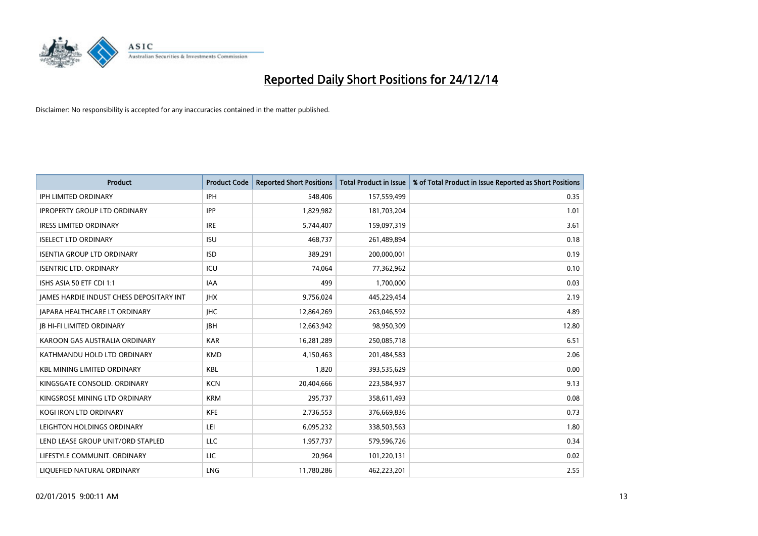

| <b>Product</b>                           | <b>Product Code</b> | <b>Reported Short Positions</b> | <b>Total Product in Issue</b> | % of Total Product in Issue Reported as Short Positions |
|------------------------------------------|---------------------|---------------------------------|-------------------------------|---------------------------------------------------------|
| <b>IPH LIMITED ORDINARY</b>              | <b>IPH</b>          | 548,406                         | 157,559,499                   | 0.35                                                    |
| <b>IPROPERTY GROUP LTD ORDINARY</b>      | <b>IPP</b>          | 1,829,982                       | 181,703,204                   | 1.01                                                    |
| <b>IRESS LIMITED ORDINARY</b>            | <b>IRE</b>          | 5,744,407                       | 159,097,319                   | 3.61                                                    |
| <b>ISELECT LTD ORDINARY</b>              | <b>ISU</b>          | 468,737                         | 261,489,894                   | 0.18                                                    |
| <b>ISENTIA GROUP LTD ORDINARY</b>        | <b>ISD</b>          | 389,291                         | 200,000,001                   | 0.19                                                    |
| <b>ISENTRIC LTD. ORDINARY</b>            | ICU                 | 74,064                          | 77,362,962                    | 0.10                                                    |
| ISHS ASIA 50 ETF CDI 1:1                 | IAA                 | 499                             | 1,700,000                     | 0.03                                                    |
| JAMES HARDIE INDUST CHESS DEPOSITARY INT | <b>IHX</b>          | 9,756,024                       | 445,229,454                   | 2.19                                                    |
| <b>JAPARA HEALTHCARE LT ORDINARY</b>     | <b>IHC</b>          | 12,864,269                      | 263,046,592                   | 4.89                                                    |
| <b>JB HI-FI LIMITED ORDINARY</b>         | <b>IBH</b>          | 12,663,942                      | 98,950,309                    | 12.80                                                   |
| KAROON GAS AUSTRALIA ORDINARY            | <b>KAR</b>          | 16,281,289                      | 250,085,718                   | 6.51                                                    |
| KATHMANDU HOLD LTD ORDINARY              | <b>KMD</b>          | 4,150,463                       | 201,484,583                   | 2.06                                                    |
| <b>KBL MINING LIMITED ORDINARY</b>       | <b>KBL</b>          | 1,820                           | 393,535,629                   | 0.00                                                    |
| KINGSGATE CONSOLID. ORDINARY             | <b>KCN</b>          | 20,404,666                      | 223,584,937                   | 9.13                                                    |
| KINGSROSE MINING LTD ORDINARY            | <b>KRM</b>          | 295,737                         | 358,611,493                   | 0.08                                                    |
| KOGI IRON LTD ORDINARY                   | KFE                 | 2,736,553                       | 376,669,836                   | 0.73                                                    |
| LEIGHTON HOLDINGS ORDINARY               | LEI                 | 6,095,232                       | 338,503,563                   | 1.80                                                    |
| LEND LEASE GROUP UNIT/ORD STAPLED        | LLC                 | 1,957,737                       | 579,596,726                   | 0.34                                                    |
| LIFESTYLE COMMUNIT, ORDINARY             | LIC                 | 20,964                          | 101,220,131                   | 0.02                                                    |
| LIQUEFIED NATURAL ORDINARY               | <b>LNG</b>          | 11,780,286                      | 462,223,201                   | 2.55                                                    |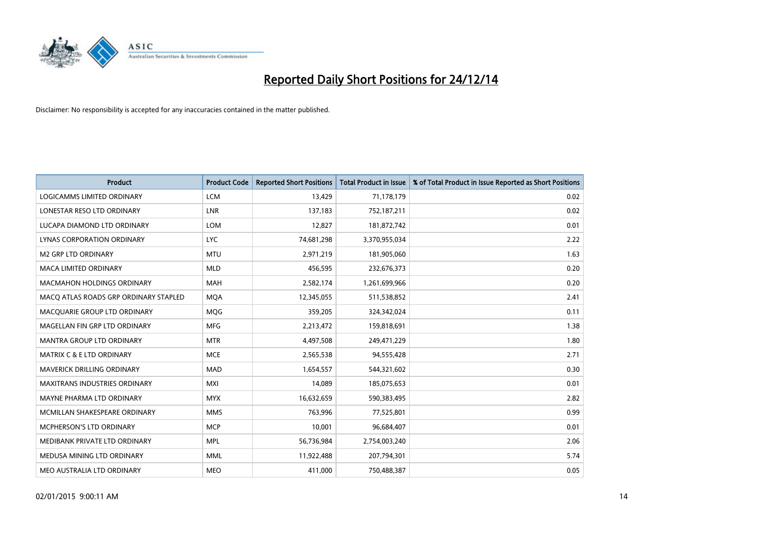

| <b>Product</b>                        | <b>Product Code</b> | <b>Reported Short Positions</b> | <b>Total Product in Issue</b> | % of Total Product in Issue Reported as Short Positions |
|---------------------------------------|---------------------|---------------------------------|-------------------------------|---------------------------------------------------------|
| LOGICAMMS LIMITED ORDINARY            | <b>LCM</b>          | 13,429                          | 71,178,179                    | 0.02                                                    |
| LONESTAR RESO LTD ORDINARY            | <b>LNR</b>          | 137,183                         | 752,187,211                   | 0.02                                                    |
| LUCAPA DIAMOND LTD ORDINARY           | <b>LOM</b>          | 12,827                          | 181,872,742                   | 0.01                                                    |
| LYNAS CORPORATION ORDINARY            | <b>LYC</b>          | 74,681,298                      | 3,370,955,034                 | 2.22                                                    |
| <b>M2 GRP LTD ORDINARY</b>            | <b>MTU</b>          | 2,971,219                       | 181,905,060                   | 1.63                                                    |
| <b>MACA LIMITED ORDINARY</b>          | <b>MLD</b>          | 456,595                         | 232,676,373                   | 0.20                                                    |
| <b>MACMAHON HOLDINGS ORDINARY</b>     | MAH                 | 2,582,174                       | 1,261,699,966                 | 0.20                                                    |
| MACQ ATLAS ROADS GRP ORDINARY STAPLED | <b>MQA</b>          | 12,345,055                      | 511,538,852                   | 2.41                                                    |
| MACQUARIE GROUP LTD ORDINARY          | <b>MOG</b>          | 359,205                         | 324,342,024                   | 0.11                                                    |
| MAGELLAN FIN GRP LTD ORDINARY         | <b>MFG</b>          | 2,213,472                       | 159,818,691                   | 1.38                                                    |
| <b>MANTRA GROUP LTD ORDINARY</b>      | <b>MTR</b>          | 4,497,508                       | 249,471,229                   | 1.80                                                    |
| <b>MATRIX C &amp; E LTD ORDINARY</b>  | <b>MCE</b>          | 2,565,538                       | 94,555,428                    | 2.71                                                    |
| MAVERICK DRILLING ORDINARY            | <b>MAD</b>          | 1,654,557                       | 544,321,602                   | 0.30                                                    |
| <b>MAXITRANS INDUSTRIES ORDINARY</b>  | <b>MXI</b>          | 14,089                          | 185,075,653                   | 0.01                                                    |
| MAYNE PHARMA LTD ORDINARY             | <b>MYX</b>          | 16,632,659                      | 590,383,495                   | 2.82                                                    |
| MCMILLAN SHAKESPEARE ORDINARY         | <b>MMS</b>          | 763,996                         | 77,525,801                    | 0.99                                                    |
| <b>MCPHERSON'S LTD ORDINARY</b>       | <b>MCP</b>          | 10,001                          | 96,684,407                    | 0.01                                                    |
| MEDIBANK PRIVATE LTD ORDINARY         | <b>MPL</b>          | 56,736,984                      | 2,754,003,240                 | 2.06                                                    |
| MEDUSA MINING LTD ORDINARY            | <b>MML</b>          | 11,922,488                      | 207,794,301                   | 5.74                                                    |
| MEO AUSTRALIA LTD ORDINARY            | <b>MEO</b>          | 411,000                         | 750,488,387                   | 0.05                                                    |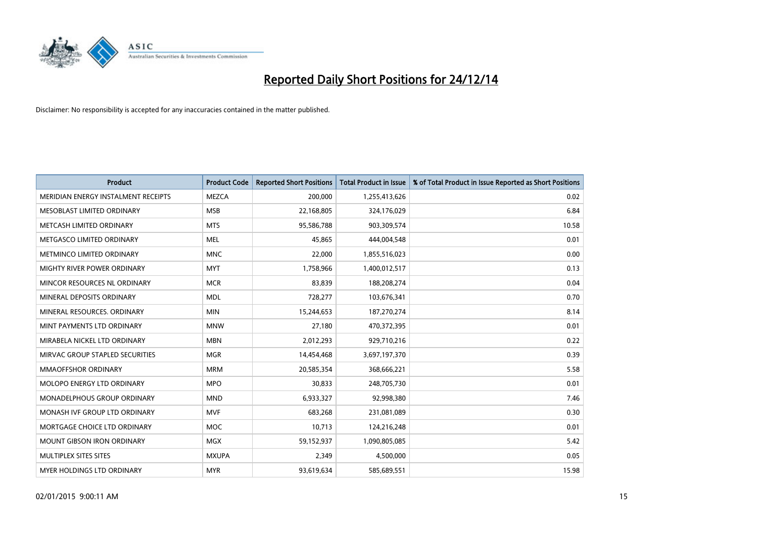

| <b>Product</b>                      | <b>Product Code</b> | <b>Reported Short Positions</b> | <b>Total Product in Issue</b> | % of Total Product in Issue Reported as Short Positions |
|-------------------------------------|---------------------|---------------------------------|-------------------------------|---------------------------------------------------------|
| MERIDIAN ENERGY INSTALMENT RECEIPTS | <b>MEZCA</b>        | 200,000                         | 1,255,413,626                 | 0.02                                                    |
| MESOBLAST LIMITED ORDINARY          | <b>MSB</b>          | 22,168,805                      | 324,176,029                   | 6.84                                                    |
| METCASH LIMITED ORDINARY            | <b>MTS</b>          | 95,586,788                      | 903,309,574                   | 10.58                                                   |
| METGASCO LIMITED ORDINARY           | <b>MEL</b>          | 45,865                          | 444,004,548                   | 0.01                                                    |
| METMINCO LIMITED ORDINARY           | <b>MNC</b>          | 22,000                          | 1,855,516,023                 | 0.00                                                    |
| MIGHTY RIVER POWER ORDINARY         | <b>MYT</b>          | 1,758,966                       | 1,400,012,517                 | 0.13                                                    |
| MINCOR RESOURCES NL ORDINARY        | <b>MCR</b>          | 83.839                          | 188,208,274                   | 0.04                                                    |
| MINERAL DEPOSITS ORDINARY           | <b>MDL</b>          | 728,277                         | 103,676,341                   | 0.70                                                    |
| MINERAL RESOURCES. ORDINARY         | <b>MIN</b>          | 15,244,653                      | 187,270,274                   | 8.14                                                    |
| MINT PAYMENTS LTD ORDINARY          | <b>MNW</b>          | 27,180                          | 470,372,395                   | 0.01                                                    |
| MIRABELA NICKEL LTD ORDINARY        | <b>MBN</b>          | 2,012,293                       | 929,710,216                   | 0.22                                                    |
| MIRVAC GROUP STAPLED SECURITIES     | <b>MGR</b>          | 14,454,468                      | 3,697,197,370                 | 0.39                                                    |
| <b>MMAOFFSHOR ORDINARY</b>          | <b>MRM</b>          | 20,585,354                      | 368,666,221                   | 5.58                                                    |
| MOLOPO ENERGY LTD ORDINARY          | <b>MPO</b>          | 30,833                          | 248,705,730                   | 0.01                                                    |
| MONADELPHOUS GROUP ORDINARY         | <b>MND</b>          | 6,933,327                       | 92,998,380                    | 7.46                                                    |
| MONASH IVF GROUP LTD ORDINARY       | <b>MVF</b>          | 683,268                         | 231,081,089                   | 0.30                                                    |
| MORTGAGE CHOICE LTD ORDINARY        | <b>MOC</b>          | 10,713                          | 124,216,248                   | 0.01                                                    |
| <b>MOUNT GIBSON IRON ORDINARY</b>   | <b>MGX</b>          | 59,152,937                      | 1,090,805,085                 | 5.42                                                    |
| MULTIPLEX SITES SITES               | <b>MXUPA</b>        | 2,349                           | 4,500,000                     | 0.05                                                    |
| MYER HOLDINGS LTD ORDINARY          | <b>MYR</b>          | 93,619,634                      | 585,689,551                   | 15.98                                                   |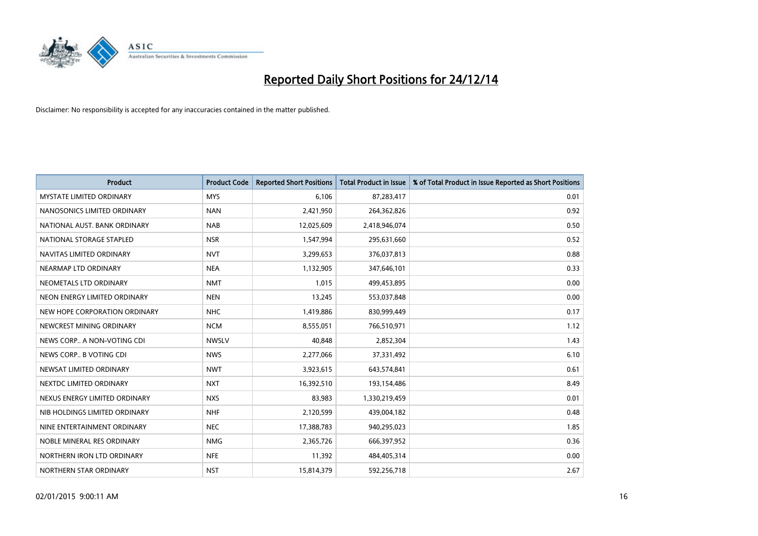

| <b>Product</b>                  | <b>Product Code</b> | <b>Reported Short Positions</b> | <b>Total Product in Issue</b> | % of Total Product in Issue Reported as Short Positions |
|---------------------------------|---------------------|---------------------------------|-------------------------------|---------------------------------------------------------|
| <b>MYSTATE LIMITED ORDINARY</b> | <b>MYS</b>          | 6,106                           | 87,283,417                    | 0.01                                                    |
| NANOSONICS LIMITED ORDINARY     | <b>NAN</b>          | 2,421,950                       | 264,362,826                   | 0.92                                                    |
| NATIONAL AUST. BANK ORDINARY    | <b>NAB</b>          | 12,025,609                      | 2,418,946,074                 | 0.50                                                    |
| NATIONAL STORAGE STAPLED        | <b>NSR</b>          | 1,547,994                       | 295,631,660                   | 0.52                                                    |
| NAVITAS LIMITED ORDINARY        | <b>NVT</b>          | 3,299,653                       | 376,037,813                   | 0.88                                                    |
| NEARMAP LTD ORDINARY            | <b>NEA</b>          | 1,132,905                       | 347,646,101                   | 0.33                                                    |
| NEOMETALS LTD ORDINARY          | <b>NMT</b>          | 1,015                           | 499,453,895                   | 0.00                                                    |
| NEON ENERGY LIMITED ORDINARY    | <b>NEN</b>          | 13,245                          | 553,037,848                   | 0.00                                                    |
| NEW HOPE CORPORATION ORDINARY   | <b>NHC</b>          | 1,419,886                       | 830,999,449                   | 0.17                                                    |
| NEWCREST MINING ORDINARY        | <b>NCM</b>          | 8,555,051                       | 766,510,971                   | 1.12                                                    |
| NEWS CORP A NON-VOTING CDI      | <b>NWSLV</b>        | 40,848                          | 2,852,304                     | 1.43                                                    |
| NEWS CORP B VOTING CDI          | <b>NWS</b>          | 2,277,066                       | 37,331,492                    | 6.10                                                    |
| NEWSAT LIMITED ORDINARY         | <b>NWT</b>          | 3,923,615                       | 643,574,841                   | 0.61                                                    |
| NEXTDC LIMITED ORDINARY         | <b>NXT</b>          | 16,392,510                      | 193,154,486                   | 8.49                                                    |
| NEXUS ENERGY LIMITED ORDINARY   | <b>NXS</b>          | 83,983                          | 1,330,219,459                 | 0.01                                                    |
| NIB HOLDINGS LIMITED ORDINARY   | <b>NHF</b>          | 2,120,599                       | 439,004,182                   | 0.48                                                    |
| NINE ENTERTAINMENT ORDINARY     | <b>NEC</b>          | 17,388,783                      | 940,295,023                   | 1.85                                                    |
| NOBLE MINERAL RES ORDINARY      | <b>NMG</b>          | 2,365,726                       | 666,397,952                   | 0.36                                                    |
| NORTHERN IRON LTD ORDINARY      | <b>NFE</b>          | 11,392                          | 484,405,314                   | 0.00                                                    |
| NORTHERN STAR ORDINARY          | <b>NST</b>          | 15,814,379                      | 592,256,718                   | 2.67                                                    |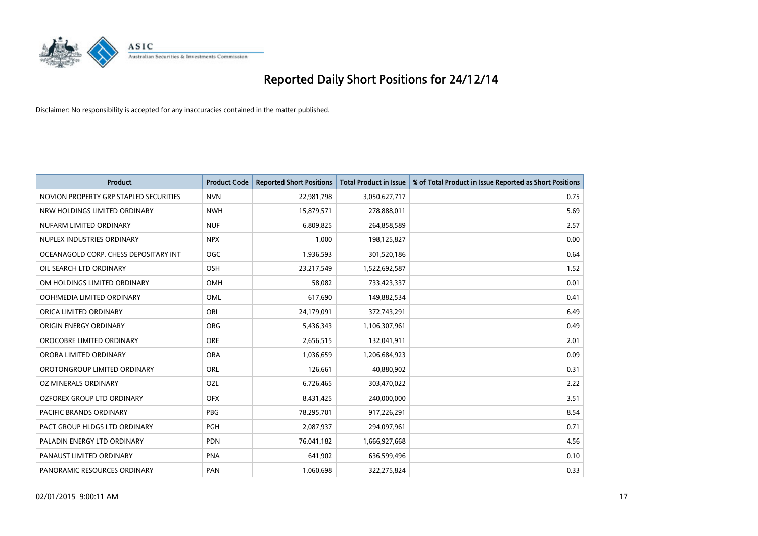

| <b>Product</b>                         | <b>Product Code</b> | <b>Reported Short Positions</b> | <b>Total Product in Issue</b> | % of Total Product in Issue Reported as Short Positions |
|----------------------------------------|---------------------|---------------------------------|-------------------------------|---------------------------------------------------------|
| NOVION PROPERTY GRP STAPLED SECURITIES | <b>NVN</b>          | 22,981,798                      | 3,050,627,717                 | 0.75                                                    |
| NRW HOLDINGS LIMITED ORDINARY          | <b>NWH</b>          | 15,879,571                      | 278,888,011                   | 5.69                                                    |
| NUFARM LIMITED ORDINARY                | <b>NUF</b>          | 6,809,825                       | 264,858,589                   | 2.57                                                    |
| NUPLEX INDUSTRIES ORDINARY             | <b>NPX</b>          | 1,000                           | 198,125,827                   | 0.00                                                    |
| OCEANAGOLD CORP. CHESS DEPOSITARY INT  | <b>OGC</b>          | 1,936,593                       | 301,520,186                   | 0.64                                                    |
| OIL SEARCH LTD ORDINARY                | OSH                 | 23,217,549                      | 1,522,692,587                 | 1.52                                                    |
| OM HOLDINGS LIMITED ORDINARY           | OMH                 | 58,082                          | 733,423,337                   | 0.01                                                    |
| OOH!MEDIA LIMITED ORDINARY             | OML                 | 617,690                         | 149,882,534                   | 0.41                                                    |
| ORICA LIMITED ORDINARY                 | ORI                 | 24,179,091                      | 372,743,291                   | 6.49                                                    |
| ORIGIN ENERGY ORDINARY                 | <b>ORG</b>          | 5,436,343                       | 1,106,307,961                 | 0.49                                                    |
| OROCOBRE LIMITED ORDINARY              | <b>ORE</b>          | 2,656,515                       | 132,041,911                   | 2.01                                                    |
| ORORA LIMITED ORDINARY                 | <b>ORA</b>          | 1,036,659                       | 1,206,684,923                 | 0.09                                                    |
| OROTONGROUP LIMITED ORDINARY           | ORL                 | 126,661                         | 40,880,902                    | 0.31                                                    |
| OZ MINERALS ORDINARY                   | OZL                 | 6,726,465                       | 303,470,022                   | 2.22                                                    |
| OZFOREX GROUP LTD ORDINARY             | <b>OFX</b>          | 8,431,425                       | 240,000,000                   | 3.51                                                    |
| PACIFIC BRANDS ORDINARY                | <b>PBG</b>          | 78,295,701                      | 917,226,291                   | 8.54                                                    |
| PACT GROUP HLDGS LTD ORDINARY          | PGH                 | 2,087,937                       | 294,097,961                   | 0.71                                                    |
| PALADIN ENERGY LTD ORDINARY            | <b>PDN</b>          | 76,041,182                      | 1,666,927,668                 | 4.56                                                    |
| PANAUST LIMITED ORDINARY               | <b>PNA</b>          | 641,902                         | 636,599,496                   | 0.10                                                    |
| PANORAMIC RESOURCES ORDINARY           | PAN                 | 1,060,698                       | 322,275,824                   | 0.33                                                    |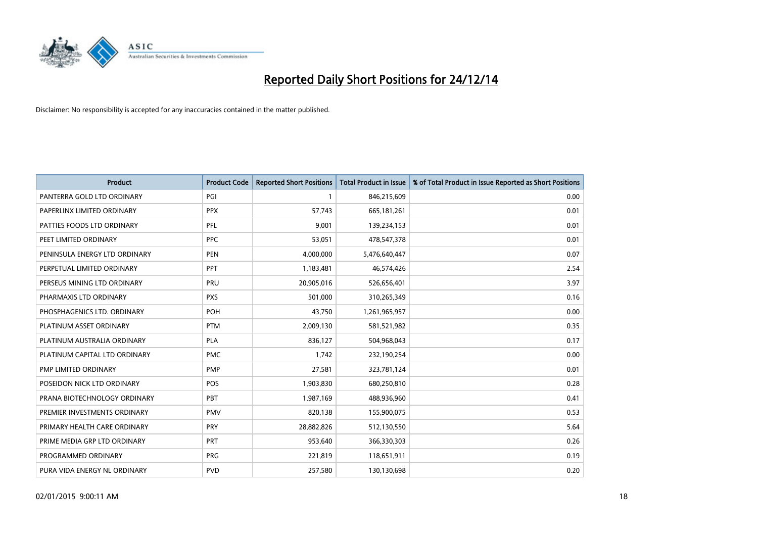

| <b>Product</b>                | <b>Product Code</b> | <b>Reported Short Positions</b> | Total Product in Issue | % of Total Product in Issue Reported as Short Positions |
|-------------------------------|---------------------|---------------------------------|------------------------|---------------------------------------------------------|
| PANTERRA GOLD LTD ORDINARY    | PGI                 | $\mathbf{1}$                    | 846,215,609            | 0.00                                                    |
| PAPERLINX LIMITED ORDINARY    | <b>PPX</b>          | 57,743                          | 665, 181, 261          | 0.01                                                    |
| PATTIES FOODS LTD ORDINARY    | PFL                 | 9,001                           | 139,234,153            | 0.01                                                    |
| PEET LIMITED ORDINARY         | <b>PPC</b>          | 53,051                          | 478,547,378            | 0.01                                                    |
| PENINSULA ENERGY LTD ORDINARY | <b>PEN</b>          | 4,000,000                       | 5,476,640,447          | 0.07                                                    |
| PERPETUAL LIMITED ORDINARY    | PPT                 | 1,183,481                       | 46,574,426             | 2.54                                                    |
| PERSEUS MINING LTD ORDINARY   | PRU                 | 20,905,016                      | 526,656,401            | 3.97                                                    |
| PHARMAXIS LTD ORDINARY        | <b>PXS</b>          | 501,000                         | 310,265,349            | 0.16                                                    |
| PHOSPHAGENICS LTD. ORDINARY   | POH                 | 43.750                          | 1,261,965,957          | 0.00                                                    |
| PLATINUM ASSET ORDINARY       | <b>PTM</b>          | 2,009,130                       | 581,521,982            | 0.35                                                    |
| PLATINUM AUSTRALIA ORDINARY   | <b>PLA</b>          | 836,127                         | 504,968,043            | 0.17                                                    |
| PLATINUM CAPITAL LTD ORDINARY | <b>PMC</b>          | 1,742                           | 232,190,254            | 0.00                                                    |
| PMP LIMITED ORDINARY          | <b>PMP</b>          | 27,581                          | 323,781,124            | 0.01                                                    |
| POSEIDON NICK LTD ORDINARY    | <b>POS</b>          | 1,903,830                       | 680,250,810            | 0.28                                                    |
| PRANA BIOTECHNOLOGY ORDINARY  | <b>PBT</b>          | 1,987,169                       | 488,936,960            | 0.41                                                    |
| PREMIER INVESTMENTS ORDINARY  | <b>PMV</b>          | 820,138                         | 155,900,075            | 0.53                                                    |
| PRIMARY HEALTH CARE ORDINARY  | <b>PRY</b>          | 28,882,826                      | 512,130,550            | 5.64                                                    |
| PRIME MEDIA GRP LTD ORDINARY  | PRT                 | 953,640                         | 366,330,303            | 0.26                                                    |
| PROGRAMMED ORDINARY           | <b>PRG</b>          | 221,819                         | 118,651,911            | 0.19                                                    |
| PURA VIDA ENERGY NL ORDINARY  | <b>PVD</b>          | 257,580                         | 130,130,698            | 0.20                                                    |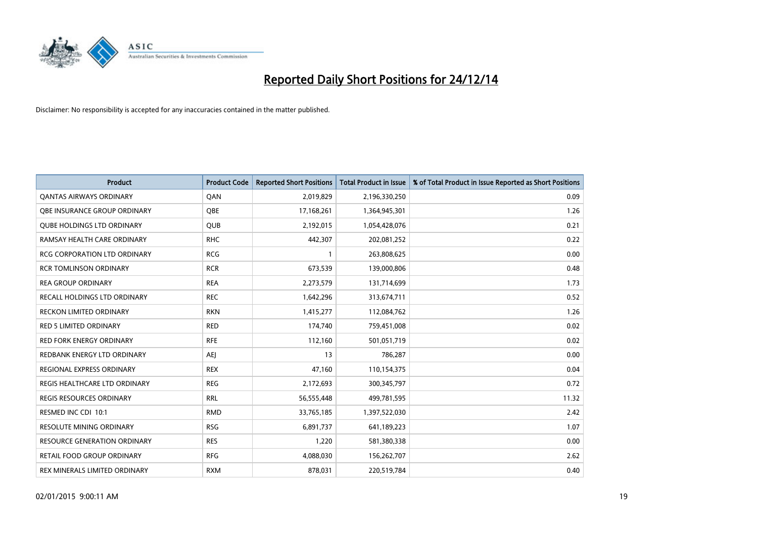

| <b>Product</b>                      | <b>Product Code</b> | <b>Reported Short Positions</b> | <b>Total Product in Issue</b> | % of Total Product in Issue Reported as Short Positions |
|-------------------------------------|---------------------|---------------------------------|-------------------------------|---------------------------------------------------------|
| <b>QANTAS AIRWAYS ORDINARY</b>      | QAN                 | 2,019,829                       | 2,196,330,250                 | 0.09                                                    |
| OBE INSURANCE GROUP ORDINARY        | <b>OBE</b>          | 17,168,261                      | 1,364,945,301                 | 1.26                                                    |
| <b>QUBE HOLDINGS LTD ORDINARY</b>   | QUB                 | 2,192,015                       | 1,054,428,076                 | 0.21                                                    |
| RAMSAY HEALTH CARE ORDINARY         | <b>RHC</b>          | 442,307                         | 202,081,252                   | 0.22                                                    |
| <b>RCG CORPORATION LTD ORDINARY</b> | <b>RCG</b>          | $\mathbf{1}$                    | 263,808,625                   | 0.00                                                    |
| <b>RCR TOMLINSON ORDINARY</b>       | <b>RCR</b>          | 673,539                         | 139,000,806                   | 0.48                                                    |
| <b>REA GROUP ORDINARY</b>           | <b>REA</b>          | 2,273,579                       | 131,714,699                   | 1.73                                                    |
| RECALL HOLDINGS LTD ORDINARY        | <b>REC</b>          | 1,642,296                       | 313,674,711                   | 0.52                                                    |
| <b>RECKON LIMITED ORDINARY</b>      | <b>RKN</b>          | 1,415,277                       | 112,084,762                   | 1.26                                                    |
| <b>RED 5 LIMITED ORDINARY</b>       | <b>RED</b>          | 174,740                         | 759,451,008                   | 0.02                                                    |
| RED FORK ENERGY ORDINARY            | <b>RFE</b>          | 112,160                         | 501,051,719                   | 0.02                                                    |
| REDBANK ENERGY LTD ORDINARY         | <b>AEJ</b>          | 13                              | 786,287                       | 0.00                                                    |
| REGIONAL EXPRESS ORDINARY           | <b>REX</b>          | 47,160                          | 110,154,375                   | 0.04                                                    |
| REGIS HEALTHCARE LTD ORDINARY       | <b>REG</b>          | 2,172,693                       | 300, 345, 797                 | 0.72                                                    |
| <b>REGIS RESOURCES ORDINARY</b>     | <b>RRL</b>          | 56,555,448                      | 499,781,595                   | 11.32                                                   |
| RESMED INC CDI 10:1                 | <b>RMD</b>          | 33,765,185                      | 1,397,522,030                 | 2.42                                                    |
| RESOLUTE MINING ORDINARY            | <b>RSG</b>          | 6,891,737                       | 641,189,223                   | 1.07                                                    |
| RESOURCE GENERATION ORDINARY        | <b>RES</b>          | 1,220                           | 581,380,338                   | 0.00                                                    |
| <b>RETAIL FOOD GROUP ORDINARY</b>   | <b>RFG</b>          | 4,088,030                       | 156,262,707                   | 2.62                                                    |
| REX MINERALS LIMITED ORDINARY       | <b>RXM</b>          | 878,031                         | 220,519,784                   | 0.40                                                    |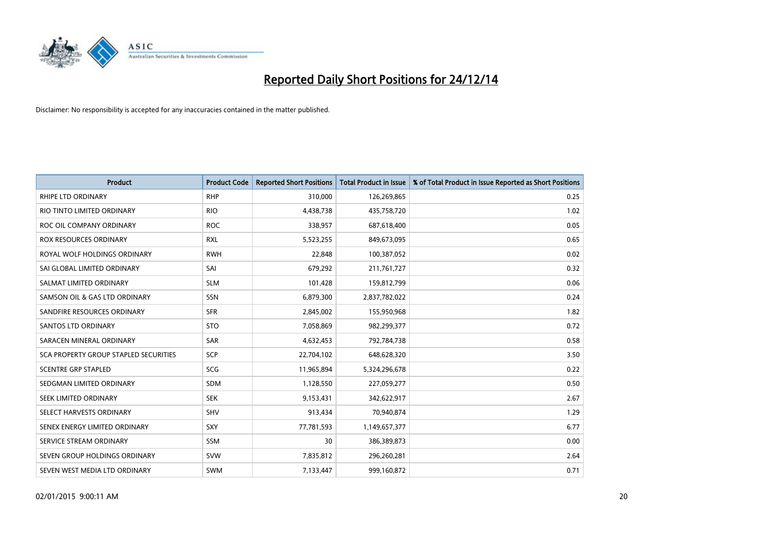

| Product                               | <b>Product Code</b> | <b>Reported Short Positions</b> | <b>Total Product in Issue</b> | % of Total Product in Issue Reported as Short Positions |
|---------------------------------------|---------------------|---------------------------------|-------------------------------|---------------------------------------------------------|
| <b>RHIPE LTD ORDINARY</b>             | <b>RHP</b>          | 310,000                         | 126,269,865                   | 0.25                                                    |
| RIO TINTO LIMITED ORDINARY            | <b>RIO</b>          | 4,438,738                       | 435,758,720                   | 1.02                                                    |
| ROC OIL COMPANY ORDINARY              | <b>ROC</b>          | 338,957                         | 687,618,400                   | 0.05                                                    |
| ROX RESOURCES ORDINARY                | <b>RXL</b>          | 5,523,255                       | 849,673,095                   | 0.65                                                    |
| ROYAL WOLF HOLDINGS ORDINARY          | <b>RWH</b>          | 22,848                          | 100,387,052                   | 0.02                                                    |
| SAI GLOBAL LIMITED ORDINARY           | SAI                 | 679,292                         | 211,761,727                   | 0.32                                                    |
| SALMAT LIMITED ORDINARY               | <b>SLM</b>          | 101,428                         | 159,812,799                   | 0.06                                                    |
| SAMSON OIL & GAS LTD ORDINARY         | SSN                 | 6,879,300                       | 2,837,782,022                 | 0.24                                                    |
| SANDFIRE RESOURCES ORDINARY           | <b>SFR</b>          | 2,845,002                       | 155,950,968                   | 1.82                                                    |
| SANTOS LTD ORDINARY                   | <b>STO</b>          | 7,058,869                       | 982,299,377                   | 0.72                                                    |
| SARACEN MINERAL ORDINARY              | SAR                 | 4,632,453                       | 792,784,738                   | 0.58                                                    |
| SCA PROPERTY GROUP STAPLED SECURITIES | SCP                 | 22,704,102                      | 648,628,320                   | 3.50                                                    |
| <b>SCENTRE GRP STAPLED</b>            | <b>SCG</b>          | 11,965,894                      | 5,324,296,678                 | 0.22                                                    |
| SEDGMAN LIMITED ORDINARY              | <b>SDM</b>          | 1,128,550                       | 227,059,277                   | 0.50                                                    |
| SEEK LIMITED ORDINARY                 | <b>SEK</b>          | 9,153,431                       | 342,622,917                   | 2.67                                                    |
| SELECT HARVESTS ORDINARY              | SHV                 | 913,434                         | 70,940,874                    | 1.29                                                    |
| SENEX ENERGY LIMITED ORDINARY         | <b>SXY</b>          | 77,781,593                      | 1,149,657,377                 | 6.77                                                    |
| SERVICE STREAM ORDINARY               | <b>SSM</b>          | 30                              | 386,389,873                   | 0.00                                                    |
| SEVEN GROUP HOLDINGS ORDINARY         | <b>SVW</b>          | 7,835,812                       | 296,260,281                   | 2.64                                                    |
| SEVEN WEST MEDIA LTD ORDINARY         | <b>SWM</b>          | 7,133,447                       | 999,160,872                   | 0.71                                                    |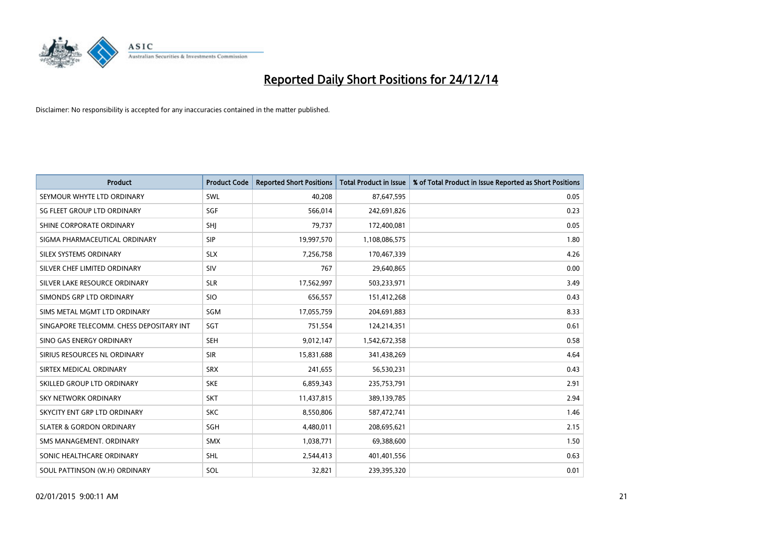

| <b>Product</b>                           | <b>Product Code</b> | <b>Reported Short Positions</b> | <b>Total Product in Issue</b> | % of Total Product in Issue Reported as Short Positions |
|------------------------------------------|---------------------|---------------------------------|-------------------------------|---------------------------------------------------------|
| SEYMOUR WHYTE LTD ORDINARY               | SWL                 | 40,208                          | 87,647,595                    | 0.05                                                    |
| SG FLEET GROUP LTD ORDINARY              | SGF                 | 566,014                         | 242,691,826                   | 0.23                                                    |
| SHINE CORPORATE ORDINARY                 | SHJ                 | 79,737                          | 172,400,081                   | 0.05                                                    |
| SIGMA PHARMACEUTICAL ORDINARY            | <b>SIP</b>          | 19,997,570                      | 1,108,086,575                 | 1.80                                                    |
| SILEX SYSTEMS ORDINARY                   | <b>SLX</b>          | 7,256,758                       | 170,467,339                   | 4.26                                                    |
| SILVER CHEF LIMITED ORDINARY             | SIV                 | 767                             | 29,640,865                    | 0.00                                                    |
| SILVER LAKE RESOURCE ORDINARY            | <b>SLR</b>          | 17,562,997                      | 503,233,971                   | 3.49                                                    |
| SIMONDS GRP LTD ORDINARY                 | <b>SIO</b>          | 656,557                         | 151,412,268                   | 0.43                                                    |
| SIMS METAL MGMT LTD ORDINARY             | SGM                 | 17,055,759                      | 204,691,883                   | 8.33                                                    |
| SINGAPORE TELECOMM. CHESS DEPOSITARY INT | SGT                 | 751,554                         | 124,214,351                   | 0.61                                                    |
| SINO GAS ENERGY ORDINARY                 | <b>SEH</b>          | 9,012,147                       | 1,542,672,358                 | 0.58                                                    |
| SIRIUS RESOURCES NL ORDINARY             | <b>SIR</b>          | 15,831,688                      | 341,438,269                   | 4.64                                                    |
| SIRTEX MEDICAL ORDINARY                  | <b>SRX</b>          | 241,655                         | 56,530,231                    | 0.43                                                    |
| SKILLED GROUP LTD ORDINARY               | <b>SKE</b>          | 6,859,343                       | 235,753,791                   | 2.91                                                    |
| <b>SKY NETWORK ORDINARY</b>              | <b>SKT</b>          | 11,437,815                      | 389,139,785                   | 2.94                                                    |
| SKYCITY ENT GRP LTD ORDINARY             | <b>SKC</b>          | 8,550,806                       | 587,472,741                   | 1.46                                                    |
| <b>SLATER &amp; GORDON ORDINARY</b>      | SGH                 | 4,480,011                       | 208,695,621                   | 2.15                                                    |
| SMS MANAGEMENT, ORDINARY                 | <b>SMX</b>          | 1,038,771                       | 69,388,600                    | 1.50                                                    |
| SONIC HEALTHCARE ORDINARY                | <b>SHL</b>          | 2,544,413                       | 401,401,556                   | 0.63                                                    |
| SOUL PATTINSON (W.H) ORDINARY            | SOL                 | 32,821                          | 239,395,320                   | 0.01                                                    |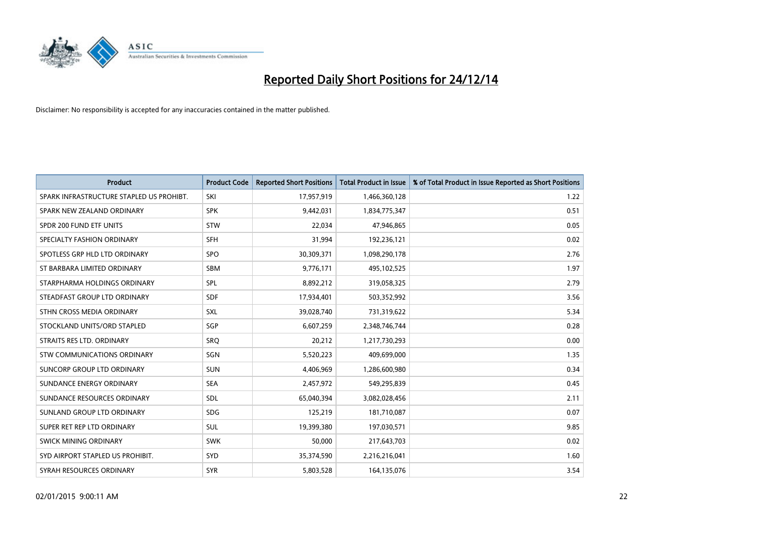

| <b>Product</b>                           | <b>Product Code</b> | <b>Reported Short Positions</b> | <b>Total Product in Issue</b> | % of Total Product in Issue Reported as Short Positions |
|------------------------------------------|---------------------|---------------------------------|-------------------------------|---------------------------------------------------------|
| SPARK INFRASTRUCTURE STAPLED US PROHIBT. | SKI                 | 17,957,919                      | 1,466,360,128                 | 1.22                                                    |
| SPARK NEW ZEALAND ORDINARY               | <b>SPK</b>          | 9,442,031                       | 1,834,775,347                 | 0.51                                                    |
| SPDR 200 FUND ETF UNITS                  | <b>STW</b>          | 22,034                          | 47,946,865                    | 0.05                                                    |
| SPECIALTY FASHION ORDINARY               | <b>SFH</b>          | 31,994                          | 192,236,121                   | 0.02                                                    |
| SPOTLESS GRP HLD LTD ORDINARY            | <b>SPO</b>          | 30,309,371                      | 1,098,290,178                 | 2.76                                                    |
| ST BARBARA LIMITED ORDINARY              | <b>SBM</b>          | 9,776,171                       | 495,102,525                   | 1.97                                                    |
| STARPHARMA HOLDINGS ORDINARY             | <b>SPL</b>          | 8,892,212                       | 319,058,325                   | 2.79                                                    |
| STEADFAST GROUP LTD ORDINARY             | <b>SDF</b>          | 17,934,401                      | 503,352,992                   | 3.56                                                    |
| STHN CROSS MEDIA ORDINARY                | SXL                 | 39,028,740                      | 731,319,622                   | 5.34                                                    |
| STOCKLAND UNITS/ORD STAPLED              | SGP                 | 6,607,259                       | 2,348,746,744                 | 0.28                                                    |
| STRAITS RES LTD. ORDINARY                | SRO                 | 20,212                          | 1,217,730,293                 | 0.00                                                    |
| STW COMMUNICATIONS ORDINARY              | SGN                 | 5,520,223                       | 409,699,000                   | 1.35                                                    |
| SUNCORP GROUP LTD ORDINARY               | <b>SUN</b>          | 4,406,969                       | 1,286,600,980                 | 0.34                                                    |
| SUNDANCE ENERGY ORDINARY                 | <b>SEA</b>          | 2,457,972                       | 549,295,839                   | 0.45                                                    |
| SUNDANCE RESOURCES ORDINARY              | SDL                 | 65,040,394                      | 3,082,028,456                 | 2.11                                                    |
| SUNLAND GROUP LTD ORDINARY               | <b>SDG</b>          | 125,219                         | 181,710,087                   | 0.07                                                    |
| SUPER RET REP LTD ORDINARY               | SUL                 | 19,399,380                      | 197,030,571                   | 9.85                                                    |
| SWICK MINING ORDINARY                    | <b>SWK</b>          | 50.000                          | 217,643,703                   | 0.02                                                    |
| SYD AIRPORT STAPLED US PROHIBIT.         | <b>SYD</b>          | 35,374,590                      | 2,216,216,041                 | 1.60                                                    |
| SYRAH RESOURCES ORDINARY                 | <b>SYR</b>          | 5,803,528                       | 164,135,076                   | 3.54                                                    |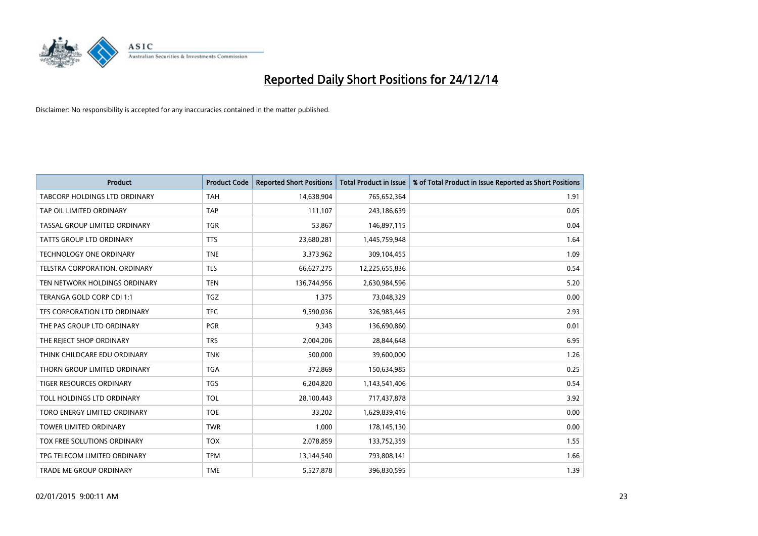

| <b>Product</b>                     | <b>Product Code</b> | <b>Reported Short Positions</b> | <b>Total Product in Issue</b> | % of Total Product in Issue Reported as Short Positions |
|------------------------------------|---------------------|---------------------------------|-------------------------------|---------------------------------------------------------|
| TABCORP HOLDINGS LTD ORDINARY      | <b>TAH</b>          | 14,638,904                      | 765,652,364                   | 1.91                                                    |
| TAP OIL LIMITED ORDINARY           | <b>TAP</b>          | 111,107                         | 243,186,639                   | 0.05                                                    |
| TASSAL GROUP LIMITED ORDINARY      | <b>TGR</b>          | 53,867                          | 146,897,115                   | 0.04                                                    |
| <b>TATTS GROUP LTD ORDINARY</b>    | <b>TTS</b>          | 23,680,281                      | 1,445,759,948                 | 1.64                                                    |
| <b>TECHNOLOGY ONE ORDINARY</b>     | <b>TNE</b>          | 3,373,962                       | 309,104,455                   | 1.09                                                    |
| TELSTRA CORPORATION, ORDINARY      | <b>TLS</b>          | 66,627,275                      | 12,225,655,836                | 0.54                                                    |
| TEN NETWORK HOLDINGS ORDINARY      | <b>TEN</b>          | 136,744,956                     | 2,630,984,596                 | 5.20                                                    |
| TERANGA GOLD CORP CDI 1:1          | <b>TGZ</b>          | 1,375                           | 73,048,329                    | 0.00                                                    |
| TFS CORPORATION LTD ORDINARY       | <b>TFC</b>          | 9,590,036                       | 326,983,445                   | 2.93                                                    |
| THE PAS GROUP LTD ORDINARY         | <b>PGR</b>          | 9,343                           | 136,690,860                   | 0.01                                                    |
| THE REJECT SHOP ORDINARY           | <b>TRS</b>          | 2,004,206                       | 28,844,648                    | 6.95                                                    |
| THINK CHILDCARE EDU ORDINARY       | <b>TNK</b>          | 500,000                         | 39,600,000                    | 1.26                                                    |
| THORN GROUP LIMITED ORDINARY       | <b>TGA</b>          | 372,869                         | 150,634,985                   | 0.25                                                    |
| <b>TIGER RESOURCES ORDINARY</b>    | <b>TGS</b>          | 6,204,820                       | 1,143,541,406                 | 0.54                                                    |
| TOLL HOLDINGS LTD ORDINARY         | <b>TOL</b>          | 28,100,443                      | 717,437,878                   | 3.92                                                    |
| TORO ENERGY LIMITED ORDINARY       | <b>TOE</b>          | 33,202                          | 1,629,839,416                 | 0.00                                                    |
| TOWER LIMITED ORDINARY             | <b>TWR</b>          | 1,000                           | 178,145,130                   | 0.00                                                    |
| <b>TOX FREE SOLUTIONS ORDINARY</b> | <b>TOX</b>          | 2,078,859                       | 133,752,359                   | 1.55                                                    |
| TPG TELECOM LIMITED ORDINARY       | <b>TPM</b>          | 13,144,540                      | 793,808,141                   | 1.66                                                    |
| TRADE ME GROUP ORDINARY            | <b>TME</b>          | 5,527,878                       | 396,830,595                   | 1.39                                                    |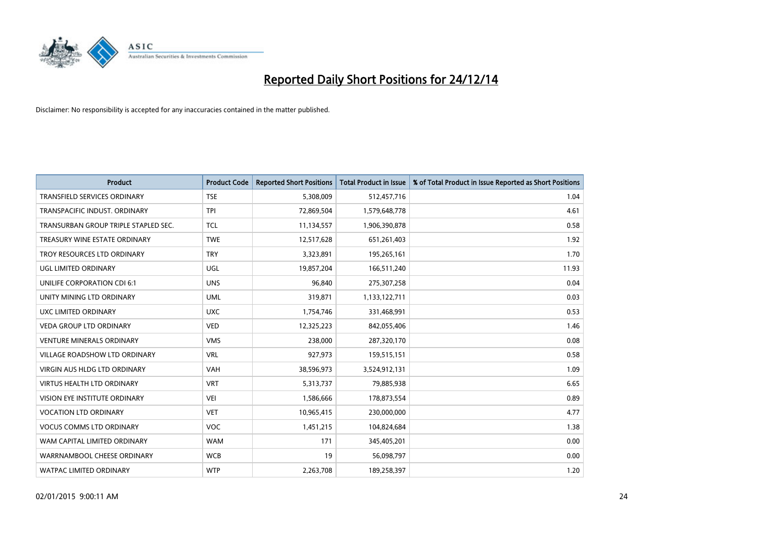

| <b>Product</b>                       | <b>Product Code</b> | <b>Reported Short Positions</b> | <b>Total Product in Issue</b> | % of Total Product in Issue Reported as Short Positions |
|--------------------------------------|---------------------|---------------------------------|-------------------------------|---------------------------------------------------------|
| <b>TRANSFIELD SERVICES ORDINARY</b>  | <b>TSE</b>          | 5,308,009                       | 512,457,716                   | 1.04                                                    |
| TRANSPACIFIC INDUST. ORDINARY        | <b>TPI</b>          | 72,869,504                      | 1,579,648,778                 | 4.61                                                    |
| TRANSURBAN GROUP TRIPLE STAPLED SEC. | TCL                 | 11,134,557                      | 1,906,390,878                 | 0.58                                                    |
| TREASURY WINE ESTATE ORDINARY        | <b>TWE</b>          | 12,517,628                      | 651,261,403                   | 1.92                                                    |
| TROY RESOURCES LTD ORDINARY          | <b>TRY</b>          | 3,323,891                       | 195,265,161                   | 1.70                                                    |
| UGL LIMITED ORDINARY                 | UGL                 | 19,857,204                      | 166,511,240                   | 11.93                                                   |
| UNILIFE CORPORATION CDI 6:1          | <b>UNS</b>          | 96,840                          | 275,307,258                   | 0.04                                                    |
| UNITY MINING LTD ORDINARY            | <b>UML</b>          | 319,871                         | 1,133,122,711                 | 0.03                                                    |
| UXC LIMITED ORDINARY                 | <b>UXC</b>          | 1,754,746                       | 331,468,991                   | 0.53                                                    |
| <b>VEDA GROUP LTD ORDINARY</b>       | <b>VED</b>          | 12,325,223                      | 842,055,406                   | 1.46                                                    |
| <b>VENTURE MINERALS ORDINARY</b>     | <b>VMS</b>          | 238,000                         | 287,320,170                   | 0.08                                                    |
| VILLAGE ROADSHOW LTD ORDINARY        | <b>VRL</b>          | 927,973                         | 159,515,151                   | 0.58                                                    |
| <b>VIRGIN AUS HLDG LTD ORDINARY</b>  | <b>VAH</b>          | 38,596,973                      | 3,524,912,131                 | 1.09                                                    |
| <b>VIRTUS HEALTH LTD ORDINARY</b>    | <b>VRT</b>          | 5,313,737                       | 79,885,938                    | 6.65                                                    |
| VISION EYE INSTITUTE ORDINARY        | <b>VEI</b>          | 1,586,666                       | 178,873,554                   | 0.89                                                    |
| <b>VOCATION LTD ORDINARY</b>         | <b>VET</b>          | 10,965,415                      | 230,000,000                   | 4.77                                                    |
| <b>VOCUS COMMS LTD ORDINARY</b>      | VOC                 | 1,451,215                       | 104,824,684                   | 1.38                                                    |
| WAM CAPITAL LIMITED ORDINARY         | <b>WAM</b>          | 171                             | 345,405,201                   | 0.00                                                    |
| WARRNAMBOOL CHEESE ORDINARY          | <b>WCB</b>          | 19                              | 56,098,797                    | 0.00                                                    |
| <b>WATPAC LIMITED ORDINARY</b>       | <b>WTP</b>          | 2,263,708                       | 189,258,397                   | 1.20                                                    |